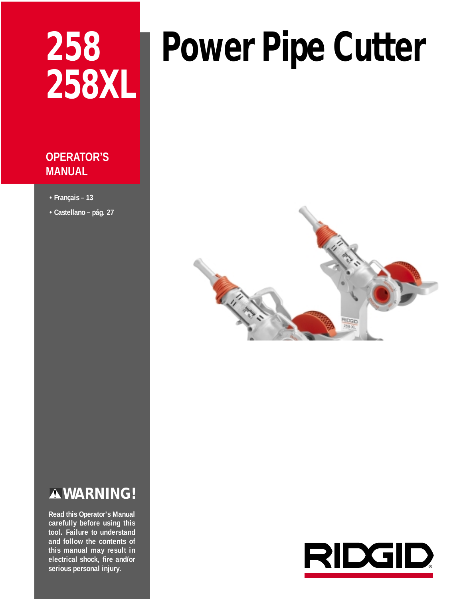# **258 258XL**

# **Power Pipe Cutter**

# **OPERATOR'S MANUAL**

- **Français 13**
- **Castellano pág. 27**

# **WARNING!**

**Read this Operator's Manual carefully before using this tool. Failure to understand and follow the contents of this manual may result in electrical shock, fire and/or serious personal injury.**

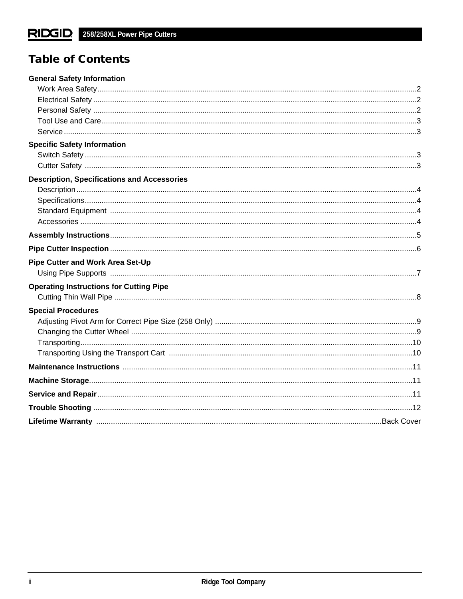# **Table of Contents**

| <b>General Safety Information</b>                  |  |
|----------------------------------------------------|--|
|                                                    |  |
|                                                    |  |
|                                                    |  |
|                                                    |  |
|                                                    |  |
| <b>Specific Safety Information</b>                 |  |
|                                                    |  |
|                                                    |  |
| <b>Description, Specifications and Accessories</b> |  |
|                                                    |  |
|                                                    |  |
|                                                    |  |
|                                                    |  |
|                                                    |  |
|                                                    |  |
| Pipe Cutter and Work Area Set-Up                   |  |
|                                                    |  |
| <b>Operating Instructions for Cutting Pipe</b>     |  |
|                                                    |  |
| <b>Special Procedures</b>                          |  |
|                                                    |  |
|                                                    |  |
|                                                    |  |
|                                                    |  |
|                                                    |  |
|                                                    |  |
|                                                    |  |
|                                                    |  |
|                                                    |  |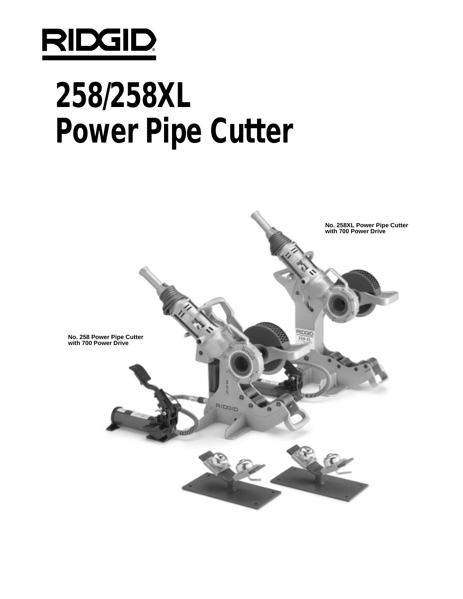

# **258/258XL Power Pipe Cutter**

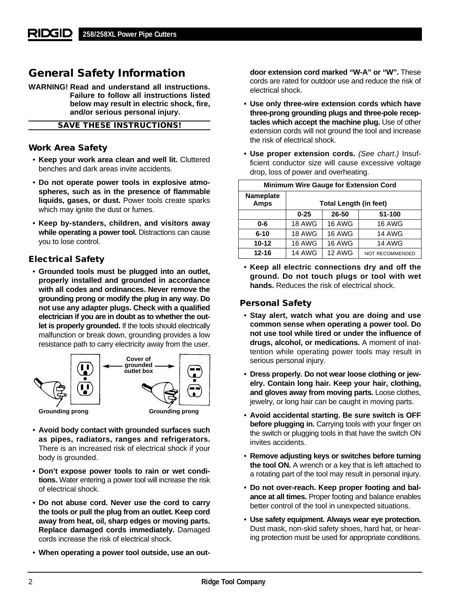# **General Safety Information**

**WARNING! Read and understand all instructions. Failure to follow all instructions listed below may result in electric shock, fire, and/or serious personal injury.**

**SAVE THESE INSTRUCTIONS!**

## **Work Area Safety**

- **Keep your work area clean and well lit.** Cluttered benches and dark areas invite accidents.
- **Do not operate power tools in explosive atmospheres, such as in the presence of flammable liquids, gases, or dust.** Power tools create sparks which may ignite the dust or fumes.
- **Keep by-standers, children, and visitors away while operating a power tool.** Distractions can cause you to lose control.

# **Electrical Safety**

• **Grounded tools must be plugged into an outlet, properly installed and grounded in accordance with all codes and ordinances. Never remove the grounding prong or modify the plug in any way. Do not use any adapter plugs. Check with a qualified electrician if you are in doubt as to whether the outlet is properly grounded.** If the tools should electrically malfunction or break down, grounding provides a low resistance path to carry electricity away from the user.



- **Avoid body contact with grounded surfaces such as pipes, radiators, ranges and refrigerators.** There is an increased risk of electrical shock if your body is grounded.
- **Don't expose power tools to rain or wet conditions.** Water entering a power tool will increase the risk of electrical shock.
- **Do not abuse cord. Never use the cord to carry the tools or pull the plug from an outlet. Keep cord away from heat, oil, sharp edges or moving parts. Replace damaged cords immediately.** Damaged cords increase the risk of electrical shock.
- **When operating a power tool outside, use an out-**

**door extension cord marked "W-A" or "W".** These cords are rated for outdoor use and reduce the risk of electrical shock.

- **Use only three-wire extension cords which have three-prong grounding plugs and three-pole receptacles which accept the machine plug.** Use of other extension cords will not ground the tool and increase the risk of electrical shock.
- **Use proper extension cords.** (See chart.) Insufficient conductor size will cause excessive voltage drop, loss of power and overheating.

| <b>Minimum Wire Gauge for Extension Cord</b> |                               |               |                        |
|----------------------------------------------|-------------------------------|---------------|------------------------|
| <b>Nameplate</b><br><b>Amps</b>              | <b>Total Length (in feet)</b> |               |                        |
|                                              | 26-50<br>51-100<br>$0 - 25$   |               |                        |
| 0-6                                          | <b>18 AWG</b>                 | <b>16 AWG</b> | <b>16 AWG</b>          |
| $6 - 10$                                     | <b>18 AWG</b>                 | <b>16 AWG</b> | <b>14 AWG</b>          |
| $10 - 12$                                    | <b>16 AWG</b>                 | <b>16 AWG</b> | <b>14 AWG</b>          |
| $12 - 16$                                    | <b>14 AWG</b>                 | 12 AWG        | <b>NOT RECOMMENDED</b> |

• **Keep all electric connections dry and off the ground. Do not touch plugs or tool with wet hands.** Reduces the risk of electrical shock.

# **Personal Safety**

- **Stay alert, watch what you are doing and use common sense when operating a power tool. Do not use tool while tired or under the influence of drugs, alcohol, or medications.** A moment of inattention while operating power tools may result in serious personal injury.
- **Dress properly. Do not wear loose clothing or jewelry. Contain long hair. Keep your hair, clothing, and gloves away from moving parts.** Loose clothes, jewelry, or long hair can be caught in moving parts.
- **Avoid accidental starting. Be sure switch is OFF before plugging in.** Carrying tools with your finger on the switch or plugging tools in that have the switch ON invites accidents.
- **Remove adjusting keys or switches before turning the tool ON.** A wrench or a key that is left attached to a rotating part of the tool may result in personal injury.
- **Do not over-reach. Keep proper footing and balance at all times.** Proper footing and balance enables better control of the tool in unexpected situations.
- **Use safety equipment. Always wear eye protection.** Dust mask, non-skid safety shoes, hard hat, or hearing protection must be used for appropriate conditions.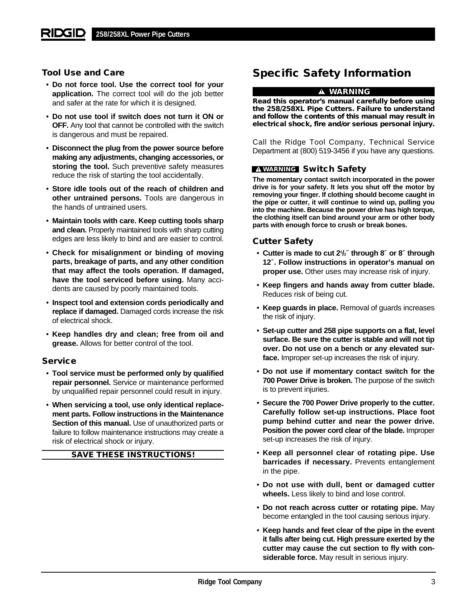# **Tool Use and Care**

- **Do not force tool. Use the correct tool for your application.** The correct tool will do the job better and safer at the rate for which it is designed.
- **Do not use tool if switch does not turn it ON or OFF.** Any tool that cannot be controlled with the switch is dangerous and must be repaired.
- **Disconnect the plug from the power source before making any adjustments, changing accessories, or** storing the tool. Such preventive safety measures reduce the risk of starting the tool accidentally.
- **Store idle tools out of the reach of children and other untrained persons.** Tools are dangerous in the hands of untrained users.
- **Maintain tools with care. Keep cutting tools sharp and clean.** Properly maintained tools with sharp cutting edges are less likely to bind and are easier to control.
- **Check for misalignment or binding of moving parts, breakage of parts, and any other condition that may affect the tools operation. If damaged, have the tool serviced before using.** Many accidents are caused by poorly maintained tools.
- **Inspect tool and extension cords periodically and replace if damaged.** Damaged cords increase the risk of electrical shock.
- **Keep handles dry and clean; free from oil and grease.** Allows for better control of the tool.

### **Service**

- **Tool service must be performed only by qualified repair personnel.** Service or maintenance performed by unqualified repair personnel could result in injury.
- **When servicing a tool, use only identical replacement parts. Follow instructions in the Maintenance Section of this manual.** Use of unauthorized parts or failure to follow maintenance instructions may create a risk of electrical shock or injury.

**SAVE THESE INSTRUCTIONS!**

# **Specific Safety Information**

## **WARNING**

**Read this operator's manual carefully before using the 258/258XL Pipe Cutters. Failure to understand and follow the contents of this manual may result in electrical shock, fire and/or serious personal injury.**

Call the Ridge Tool Company, Technical Service Department at (800) 519-3456 if you have any questions.

### **WARNING Switch Safety**

**The momentary contact switch incorporated in the power drive is for your safety. It lets you shut off the motor by removing your finger. If clothing should become caught in the pipe or cutter, it will continue to wind up, pulling you into the machine. Because the power drive has high torque, the clothing itself can bind around your arm or other body parts with enough force to crush or break bones.**

#### **Cutter Safety**

- **Cutter is made to cut 21 /2**″ **through 8**″ **or 8**″ **through 12**″**. Follow instructions in operator's manual on proper use.** Other uses may increase risk of injury.
- **Keep fingers and hands away from cutter blade.** Reduces risk of being cut.
- **Keep guards in place.** Removal of guards increases the risk of injury.
- **Set-up cutter and 258 pipe supports on a flat, level surface. Be sure the cutter is stable and will not tip over. Do not use on a bench or any elevated surface.** Improper set-up increases the risk of injury.
- **Do not use if momentary contact switch for the 700 Power Drive is broken.** The purpose of the switch is to prevent injuries.
- **Secure the 700 Power Drive properly to the cutter. Carefully follow set-up instructions. Place foot pump behind cutter and near the power drive. Position the power cord clear of the blade.** Improper set-up increases the risk of injury.
- **Keep all personnel clear of rotating pipe. Use barricades if necessary.** Prevents entanglement in the pipe.
- **Do not use with dull, bent or damaged cutter wheels.** Less likely to bind and lose control.
- **Do not reach across cutter or rotating pipe.** May become entangled in the tool causing serious injury.
- **Keep hands and feet clear of the pipe in the event it falls after being cut. High pressure exerted by the cutter may cause the cut section to fly with considerable force.** May result in serious injury.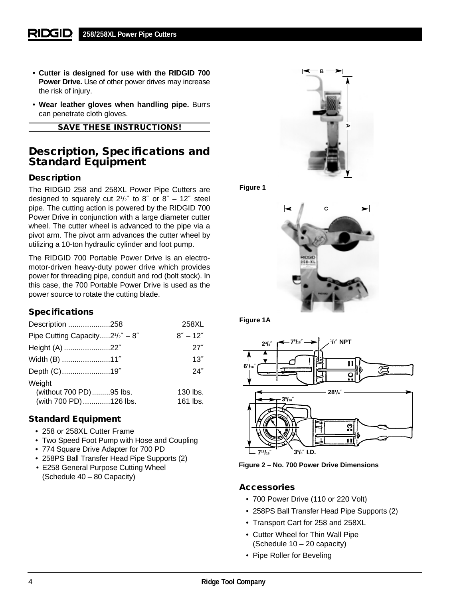- **Cutter is designed for use with the RIDGID 700 Power Drive.** Use of other power drives may increase the risk of injury.
- **Wear leather gloves when handling pipe.** Burrs can penetrate cloth gloves.

**SAVE THESE INSTRUCTIONS!**

# **Description, Specifications and Standard Equipment**

# **Description**

The RIDGID 258 and 258XL Power Pipe Cutters are designed to squarely cut  $2^{1}/2''$  to 8" or 8" - 12" steel pipe. The cutting action is powered by the RIDGID 700 Power Drive in conjunction with a large diameter cutter wheel. The cutter wheel is advanced to the pipe via a pivot arm. The pivot arm advances the cutter wheel by utilizing a 10-ton hydraulic cylinder and foot pump.

The RIDGID 700 Portable Power Drive is an electromotor-driven heavy-duty power drive which provides power for threading pipe, conduit and rod (bolt stock). In this case, the 700 Portable Power Drive is used as the power source to rotate the cutting blade.

# **Specifications**

| Description 258                         | 258XL        |
|-----------------------------------------|--------------|
| Pipe Cutting Capacity $2^{1}/2'' - 8''$ | $8'' - 12''$ |
| Height (A) 22"                          | 27''         |
| Width (B) 11"                           | 13''         |
| Depth (C)19"                            | 24''         |
| Weight                                  |              |
| (without 700 PD) 95 lbs.                | 130 lbs.     |
| (with 700 PD) 126 lbs.                  | 161 lbs.     |

# **Standard Equipment**

- 258 or 258XL Cutter Frame
- Two Speed Foot Pump with Hose and Coupling
- 774 Square Drive Adapter for 700 PD
- 258PS Ball Transfer Head Pipe Supports (2)
- E258 General Purpose Cutting Wheel (Schedule 40 – 80 Capacity)



**Figure 1**



**Figure 1A**



**Figure 2 – No. 700 Power Drive Dimensions**

## **Accessories**

- 700 Power Drive (110 or 220 Volt)
- 258PS Ball Transfer Head Pipe Supports (2)
- Transport Cart for 258 and 258XL
- Cutter Wheel for Thin Wall Pipe (Schedule 10 – 20 capacity)
- Pipe Roller for Beveling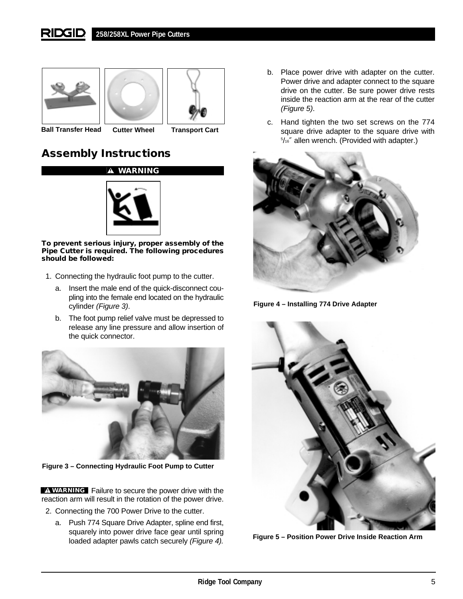#### **RIDGID 258/258XL Power Pipe Cutters**







**Ball Transfer Head Cutter Wheel Transport Cart**

# **Assembly Instructions**



**To prevent serious injury, proper assembly of the Pipe Cutter is required. The following procedures should be followed:**

- 1. Connecting the hydraulic foot pump to the cutter.
	- a. Insert the male end of the quick-disconnect coupling into the female end located on the hydraulic cylinder (Figure 3).
	- b. The foot pump relief valve must be depressed to release any line pressure and allow insertion of the quick connector.



**Figure 3 – Connecting Hydraulic Foot Pump to Cutter**

Failure to secure the power drive with the **WARNING** reaction arm will result in the rotation of the power drive.

- 2. Connecting the 700 Power Drive to the cutter.
	- a. Push 774 Square Drive Adapter, spline end first, squarely into power drive face gear until spring loaded adapter pawls catch securely (Figure 4).
- b. Place power drive with adapter on the cutter. Power drive and adapter connect to the square drive on the cutter. Be sure power drive rests inside the reaction arm at the rear of the cutter (Figure 5).
- c. Hand tighten the two set screws on the 774 square drive adapter to the square drive with 5 /16″ allen wrench. (Provided with adapter.)



**Figure 4 – Installing 774 Drive Adapter**



**Figure 5 – Position Power Drive Inside Reaction Arm**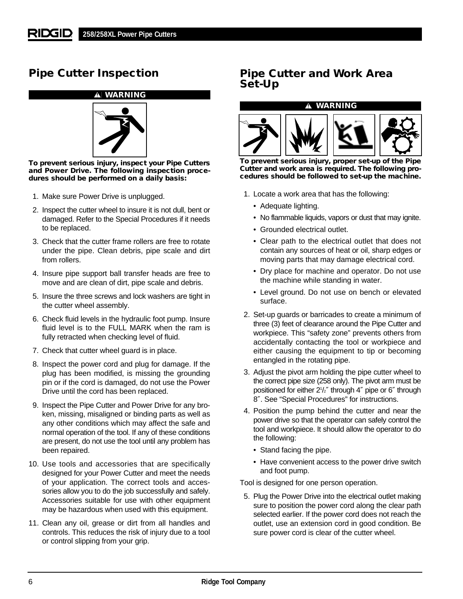# **Pipe Cutter Inspection**



**To prevent serious injury, inspect your Pipe Cutters and Power Drive. The following inspection procedures should be performed on a daily basis:**

- 1. Make sure Power Drive is unplugged.
- 2. Inspect the cutter wheel to insure it is not dull, bent or damaged. Refer to the Special Procedures if it needs to be replaced.
- 3. Check that the cutter frame rollers are free to rotate under the pipe. Clean debris, pipe scale and dirt from rollers.
- 4. Insure pipe support ball transfer heads are free to move and are clean of dirt, pipe scale and debris.
- 5. Insure the three screws and lock washers are tight in the cutter wheel assembly.
- 6. Check fluid levels in the hydraulic foot pump. Insure fluid level is to the FULL MARK when the ram is fully retracted when checking level of fluid.
- 7. Check that cutter wheel guard is in place.
- 8. Inspect the power cord and plug for damage. If the plug has been modified, is missing the grounding pin or if the cord is damaged, do not use the Power Drive until the cord has been replaced.
- 9. Inspect the Pipe Cutter and Power Drive for any broken, missing, misaligned or binding parts as well as any other conditions which may affect the safe and normal operation of the tool. If any of these conditions are present, do not use the tool until any problem has been repaired.
- 10. Use tools and accessories that are specifically designed for your Power Cutter and meet the needs of your application. The correct tools and accessories allow you to do the job successfully and safely. Accessories suitable for use with other equipment may be hazardous when used with this equipment.
- 11. Clean any oil, grease or dirt from all handles and controls. This reduces the risk of injury due to a tool or control slipping from your grip.

# **Pipe Cutter and Work Area Set-Up**

#### **WARNING**



**To prevent serious injury, proper set-up of the Pipe Cutter and work area is required. The following procedures should be followed to set-up the machine.**

- 1. Locate a work area that has the following:
	- Adequate lighting.
	- No flammable liquids, vapors or dust that may ignite.
	- Grounded electrical outlet.
	- Clear path to the electrical outlet that does not contain any sources of heat or oil, sharp edges or moving parts that may damage electrical cord.
	- Dry place for machine and operator. Do not use the machine while standing in water.
	- Level ground. Do not use on bench or elevated surface.
- 2. Set-up guards or barricades to create a minimum of three (3) feet of clearance around the Pipe Cutter and workpiece. This "safety zone" prevents others from accidentally contacting the tool or workpiece and either causing the equipment to tip or becoming entangled in the rotating pipe.
- 3. Adjust the pivot arm holding the pipe cutter wheel to the correct pipe size (258 only). The pivot arm must be positioned for either 21 /2″ through 4″ pipe or 6″ through 8″. See "Special Procedures" for instructions.
- 4. Position the pump behind the cutter and near the power drive so that the operator can safely control the tool and workpiece. It should allow the operator to do the following:
	- Stand facing the pipe.
	- Have convenient access to the power drive switch and foot pump.

Tool is designed for one person operation.

5. Plug the Power Drive into the electrical outlet making sure to position the power cord along the clear path selected earlier. If the power cord does not reach the outlet, use an extension cord in good condition. Be sure power cord is clear of the cutter wheel.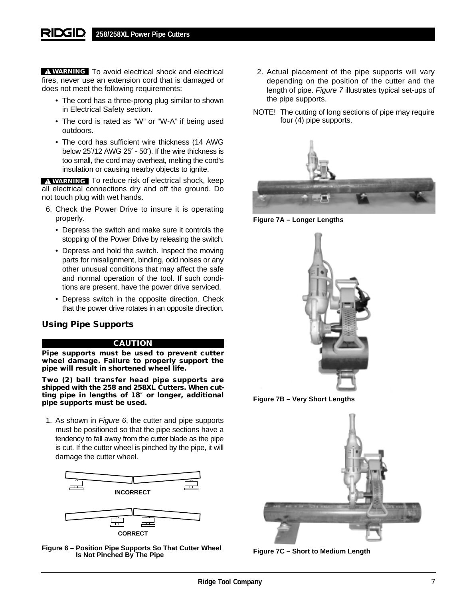**WARNING** To avoid electrical shock and electrical fires, never use an extension cord that is damaged or does not meet the following requirements:

- The cord has a three-prong plug similar to shown in Electrical Safety section.
- The cord is rated as "W" or "W-A" if being used outdoors.
- The cord has sufficient wire thickness (14 AWG below 25′/12 AWG 25′ - 50′). If the wire thickness is too small, the cord may overheat, melting the cord's insulation or causing nearby objects to ignite.

**WARNING** To reduce risk of electrical shock, keep all electrical connections dry and off the ground. Do not touch plug with wet hands.

- 6. Check the Power Drive to insure it is operating properly.
	- Depress the switch and make sure it controls the stopping of the Power Drive by releasing the switch.
	- Depress and hold the switch. Inspect the moving parts for misalignment, binding, odd noises or any other unusual conditions that may affect the safe and normal operation of the tool. If such conditions are present, have the power drive serviced.
	- Depress switch in the opposite direction. Check that the power drive rotates in an opposite direction.

# **Using Pipe Supports**

## **CAUTION**

**Pipe supports must be used to prevent cutter wheel damage. Failure to properly support the pipe will result in shortened wheel life.**

**Two (2) ball transfer head pipe supports are shipped with the 258 and 258XL Cutters. When cutting pipe in lengths of 18**″ **or longer, additional pipe supports must be used.**

1. As shown in Figure 6, the cutter and pipe supports must be positioned so that the pipe sections have a tendency to fall away from the cutter blade as the pipe is cut. If the cutter wheel is pinched by the pipe, it will damage the cutter wheel.



**Figure 6 – Position Pipe Supports So That Cutter Wheel Is Not Pinched By The Pipe**

- 2. Actual placement of the pipe supports will vary depending on the position of the cutter and the length of pipe. Figure 7 illustrates typical set-ups of the pipe supports.
- NOTE! The cutting of long sections of pipe may require four (4) pipe supports.



**Figure 7A – Longer Lengths**



**Figure 7C – Short to Medium Length**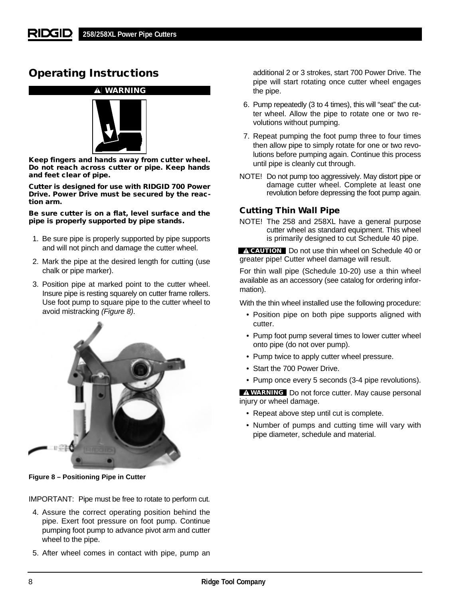# **Operating Instructions**

## **WARNING**



**Keep fingers and hands away from cutter wheel. Do not reach across cutter or pipe. Keep hands and feet clear of pipe.**

**Cutter is designed for use with RIDGID 700 Power Drive. Power Drive must be secured by the reaction arm.**

**Be sure cutter is on a flat, level surface and the pipe is properly supported by pipe stands.**

- 1. Be sure pipe is properly supported by pipe supports and will not pinch and damage the cutter wheel.
- 2. Mark the pipe at the desired length for cutting (use chalk or pipe marker).
- 3. Position pipe at marked point to the cutter wheel. Insure pipe is resting squarely on cutter frame rollers. Use foot pump to square pipe to the cutter wheel to avoid mistracking (Figure 8).



**Figure 8 – Positioning Pipe in Cutter**

IMPORTANT: Pipe must be free to rotate to perform cut.

- 4. Assure the correct operating position behind the pipe. Exert foot pressure on foot pump. Continue pumping foot pump to advance pivot arm and cutter wheel to the pipe.
- 5. After wheel comes in contact with pipe, pump an

additional 2 or 3 strokes, start 700 Power Drive. The pipe will start rotating once cutter wheel engages the pipe.

- 6. Pump repeatedly (3 to 4 times), this will "seat" the cutter wheel. Allow the pipe to rotate one or two revolutions without pumping.
- 7. Repeat pumping the foot pump three to four times then allow pipe to simply rotate for one or two revolutions before pumping again. Continue this process until pipe is cleanly cut through.
- NOTE! Do not pump too aggressively. May distort pipe or damage cutter wheel. Complete at least one revolution before depressing the foot pump again.

# **Cutting Thin Wall Pipe**

NOTE! The 258 and 258XL have a general purpose cutter wheel as standard equipment. This wheel is primarily designed to cut Schedule 40 pipe.

Do not use thin wheel on Schedule 40 or **CAUTION** greater pipe! Cutter wheel damage will result.

For thin wall pipe (Schedule 10-20) use a thin wheel available as an accessory (see catalog for ordering information).

With the thin wheel installed use the following procedure:

- Position pipe on both pipe supports aligned with cutter.
- Pump foot pump several times to lower cutter wheel onto pipe (do not over pump).
- Pump twice to apply cutter wheel pressure.
- Start the 700 Power Drive.
- Pump once every 5 seconds (3-4 pipe revolutions).

**WARNING** Do not force cutter. May cause personal injury or wheel damage.

- Repeat above step until cut is complete.
- Number of pumps and cutting time will vary with pipe diameter, schedule and material.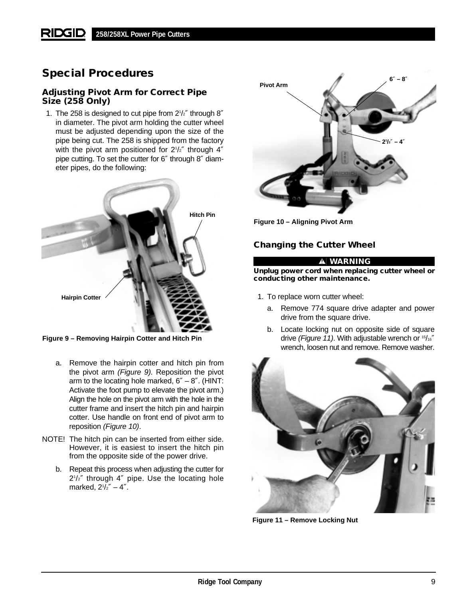# **Special Procedures**

# **Adjusting Pivot Arm for Correct Pipe Size (258 Only)**

1. The 258 is designed to cut pipe from 21 /2″ through 8″ in diameter. The pivot arm holding the cutter wheel must be adjusted depending upon the size of the pipe being cut. The 258 is shipped from the factory with the pivot arm positioned for 2<sup>1</sup>/<sub>2</sub>" through 4" pipe cutting. To set the cutter for 6″ through 8″ diameter pipes, do the following:



**Figure 9 – Removing Hairpin Cotter and Hitch Pin**

- a. Remove the hairpin cotter and hitch pin from the pivot arm (Figure 9). Reposition the pivot arm to the locating hole marked,  $6'' - 8''$ . (HINT: Activate the foot pump to elevate the pivot arm.) Align the hole on the pivot arm with the hole in the cutter frame and insert the hitch pin and hairpin cotter. Use handle on front end of pivot arm to reposition (Figure 10).
- NOTE! The hitch pin can be inserted from either side. However, it is easiest to insert the hitch pin from the opposite side of the power drive.
	- b. Repeat this process when adjusting the cutter for 21 /2″ through 4″ pipe. Use the locating hole marked, 21 /2″ – 4″.



**Figure 10 – Aligning Pivot Arm**

# **Changing the Cutter Wheel**

### **WARNING**

**Unplug power cord when replacing cutter wheel or conducting other maintenance.**

- 1. To replace worn cutter wheel:
	- a. Remove 774 square drive adapter and power drive from the square drive.
	- b. Locate locking nut on opposite side of square drive (Figure 11). With adjustable wrench or  $15/16''$ wrench, loosen nut and remove. Remove washer.



**Figure 11 – Remove Locking Nut**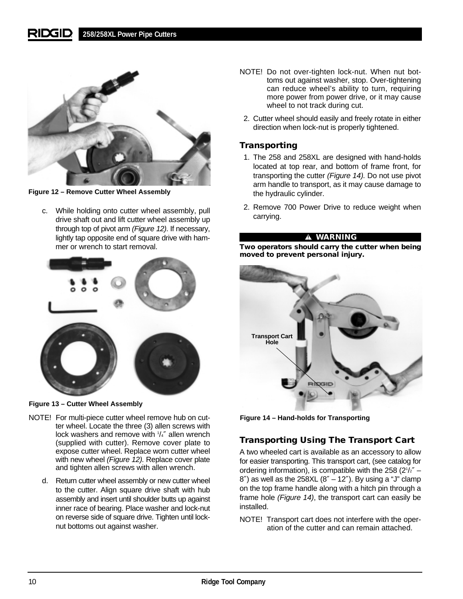

**Figure 12 – Remove Cutter Wheel Assembly**

c. While holding onto cutter wheel assembly, pull drive shaft out and lift cutter wheel assembly up through top of pivot arm (Figure 12). If necessary, lightly tap opposite end of square drive with hammer or wrench to start removal.



**Figure 13 – Cutter Wheel Assembly**

- NOTE! For multi-piece cutter wheel remove hub on cutter wheel. Locate the three (3) allen screws with lock washers and remove with  $1/4$ " allen wrench (supplied with cutter). Remove cover plate to expose cutter wheel. Replace worn cutter wheel with new wheel (Figure 12). Replace cover plate and tighten allen screws with allen wrench.
	- d. Return cutter wheel assembly or new cutter wheel to the cutter. Align square drive shaft with hub assembly and insert until shoulder butts up against inner race of bearing. Place washer and lock-nut on reverse side of square drive. Tighten until locknut bottoms out against washer.
- NOTE! Do not over-tighten lock-nut. When nut bottoms out against washer, stop. Over-tightening can reduce wheel's ability to turn, requiring more power from power drive, or it may cause wheel to not track during cut.
- 2. Cutter wheel should easily and freely rotate in either direction when lock-nut is properly tightened.

# **Transporting**

- 1. The 258 and 258XL are designed with hand-holds located at top rear, and bottom of frame front, for transporting the cutter (Figure 14). Do not use pivot arm handle to transport, as it may cause damage to the hydraulic cylinder.
- 2. Remove 700 Power Drive to reduce weight when carrying.

## **WARNING**

**Two operators should carry the cutter when being moved to prevent personal injury.**



**Figure 14 – Hand-holds for Transporting**

# **Transporting Using The Transport Cart**

A two wheeled cart is available as an accessory to allow for easier transporting. This transport cart, (see catalog for ordering information), is compatible with the 258  $(2^{1}/2^{n} 8''$ ) as well as the 258XL  $(8'' - 12'')$ . By using a "J" clamp on the top frame handle along with a hitch pin through a frame hole (Figure 14), the transport cart can easily be installed.

NOTE! Transport cart does not interfere with the operation of the cutter and can remain attached.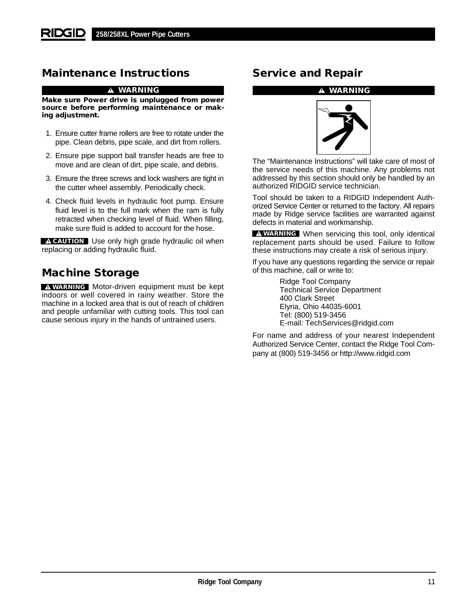# **Maintenance Instructions**

#### **WARNING**

**Make sure Power drive is unplugged from power source before performing maintenance or making adjustment.**

- 1. Ensure cutter frame rollers are free to rotate under the pipe. Clean debris, pipe scale, and dirt from rollers.
- 2. Ensure pipe support ball transfer heads are free to move and are clean of dirt, pipe scale, and debris.
- 3. Ensure the three screws and lock washers are tight in the cutter wheel assembly. Periodically check.
- 4. Check fluid levels in hydraulic foot pump. Ensure fluid level is to the full mark when the ram is fully retracted when checking level of fluid. When filling, make sure fluid is added to account for the hose.

**CAUTION** Use only high grade hydraulic oil when replacing or adding hydraulic fluid.

# **Machine Storage**

**WARNING** Motor-driven equipment must be kept indoors or well covered in rainy weather. Store the machine in a locked area that is out of reach of children and people unfamiliar with cutting tools. This tool can cause serious injury in the hands of untrained users.

# **Service and Repair**

#### **WARNING**



The "Maintenance Instructions" will take care of most of the service needs of this machine. Any problems not addressed by this section should only be handled by an authorized RIDGID service technician.

Tool should be taken to a RIDGID Independent Authorized Service Center or returned to the factory. All repairs made by Ridge service facilities are warranted against defects in material and workmanship.

**WARNING** When servicing this tool, only identical replacement parts should be used. Failure to follow these instructions may create a risk of serious injury.

If you have any questions regarding the service or repair of this machine, call or write to:

> Ridge Tool Company Technical Service Department 400 Clark Street Elyria, Ohio 44035-6001 Tel: (800) 519-3456 E-mail: TechServices@ridgid.com

For name and address of your nearest Independent Authorized Service Center, contact the Ridge Tool Company at (800) 519-3456 or http://www.ridgid.com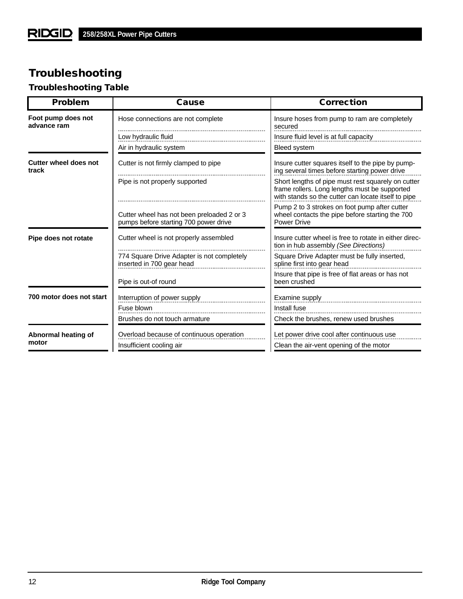# **Troubleshooting**

# **Troubleshooting Table**

| <b>Problem</b>                    | <b>Cause</b>                                                                        | <b>Correction</b>                                                                                                                                          |
|-----------------------------------|-------------------------------------------------------------------------------------|------------------------------------------------------------------------------------------------------------------------------------------------------------|
| Foot pump does not<br>advance ram | Hose connections are not complete                                                   | Insure hoses from pump to ram are completely<br>secured                                                                                                    |
|                                   | Low hydraulic fluid                                                                 | Insure fluid level is at full capacity                                                                                                                     |
|                                   | Air in hydraulic system                                                             | <b>Bleed system</b>                                                                                                                                        |
| Cutter wheel does not<br>track    | Cutter is not firmly clamped to pipe                                                | Insure cutter squares itself to the pipe by pump-<br>ing several times before starting power drive                                                         |
|                                   | Pipe is not properly supported                                                      | Short lengths of pipe must rest squarely on cutter<br>frame rollers. Long lengths must be supported<br>with stands so the cutter can locate itself to pipe |
|                                   | Cutter wheel has not been preloaded 2 or 3<br>pumps before starting 700 power drive | Pump 2 to 3 strokes on foot pump after cutter<br>wheel contacts the pipe before starting the 700<br><b>Power Drive</b>                                     |
| Pipe does not rotate              | Cutter wheel is not properly assembled                                              | Insure cutter wheel is free to rotate in either direc-<br>tion in hub assembly (See Directions)                                                            |
|                                   | 774 Square Drive Adapter is not completely<br>inserted in 700 gear head             | Square Drive Adapter must be fully inserted,<br>spline first into gear head                                                                                |
|                                   | Pipe is out-of round                                                                | Insure that pipe is free of flat areas or has not<br>been crushed                                                                                          |
| 700 motor does not start          | Interruption of power supply                                                        | Examine supply                                                                                                                                             |
|                                   | Fuse blown                                                                          | Install fuse                                                                                                                                               |
|                                   | Brushes do not touch armature                                                       | Check the brushes, renew used brushes                                                                                                                      |
| Abnormal heating of               | Overload because of continuous operation                                            | Let power drive cool after continuous use                                                                                                                  |
| motor                             | Insufficient cooling air                                                            | Clean the air-vent opening of the motor                                                                                                                    |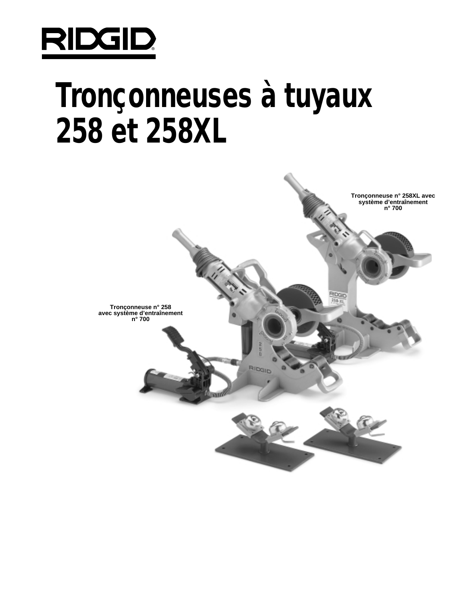

# **Tronçonneuses à tuyaux 258 et 258XL**

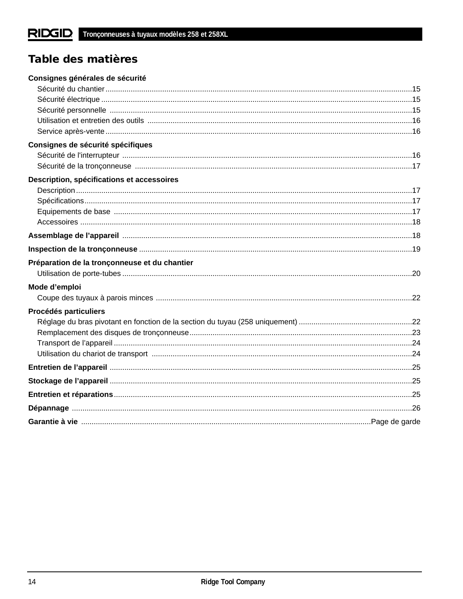# Table des matières

| Consignes générales de sécurité               |  |
|-----------------------------------------------|--|
|                                               |  |
|                                               |  |
|                                               |  |
|                                               |  |
|                                               |  |
| Consignes de sécurité spécifiques             |  |
|                                               |  |
|                                               |  |
| Description, spécifications et accessoires    |  |
|                                               |  |
|                                               |  |
|                                               |  |
|                                               |  |
|                                               |  |
|                                               |  |
| Préparation de la tronçonneuse et du chantier |  |
|                                               |  |
| Mode d'emploi                                 |  |
|                                               |  |
| Procédés particuliers                         |  |
|                                               |  |
|                                               |  |
|                                               |  |
|                                               |  |
|                                               |  |
|                                               |  |
|                                               |  |
|                                               |  |
|                                               |  |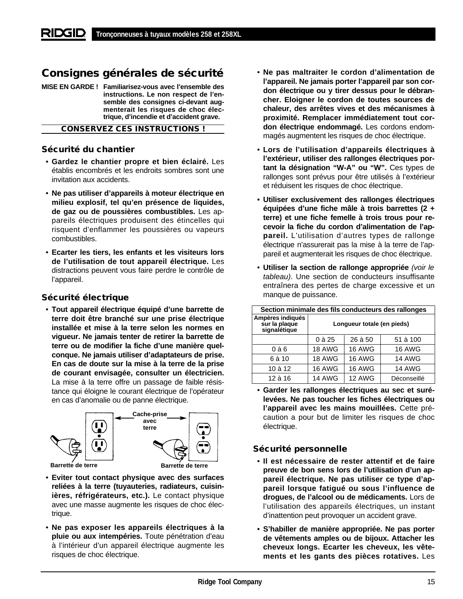# **Consignes générales de sécurité**

**MISE EN GARDE ! Familiarisez-vous avec l'ensemble des instructions. Le non respect de l'ensemble des consignes ci-devant augmenterait les risques de choc électrique, d'incendie et d'accident grave.**

**CONSERVEZ CES INSTRUCTIONS !**

## **Sécurité du chantier**

- **Gardez le chantier propre et bien éclairé.** Les établis encombrés et les endroits sombres sont une invitation aux accidents.
- **Ne pas utiliser d'appareils à moteur électrique en milieu explosif, tel qu'en présence de liquides, de gaz ou de poussières combustibles.** Les appareils électriques produisent des étincelles qui risquent d'enflammer les poussières ou vapeurs combustibles.
- **Ecarter les tiers, les enfants et les visiteurs lors de l'utilisation de tout appareil électrique.** Les distractions peuvent vous faire perdre le contrôle de l'appareil.

## **Sécurité électrique**

• **Tout appareil électrique équipé d'une barrette de terre doit être branché sur une prise électrique installée et mise à la terre selon les normes en vigueur. Ne jamais tenter de retirer la barrette de terre ou de modifier la fiche d'une manière quelconque. Ne jamais utiliser d'adaptateurs de prise. En cas de doute sur la mise à la terre de la prise de courant envisagée, consulter un électricien.** La mise à la terre offre un passage de faible résistance qui éloigne le courant électrique de l'opérateur en cas d'anomalie ou de panne électrique.



- **Eviter tout contact physique avec des surfaces reliées à la terre (tuyauteries, radiateurs, cuisinières, réfrigérateurs, etc.).** Le contact physique avec une masse augmente les risques de choc électrique.
- **Ne pas exposer les appareils électriques à la pluie ou aux intempéries.** Toute pénétration d'eau à l'intérieur d'un appareil électrique augmente les risques de choc électrique.
- **Ne pas maltraiter le cordon d'alimentation de l'appareil. Ne jamais porter l'appareil par son cordon électrique ou y tirer dessus pour le débrancher. Eloigner le cordon de toutes sources de chaleur, des arrêtes vives et des mécanismes à proximité. Remplacer immédiatement tout cordon électrique endommagé.** Les cordons endommagés augmentent les risques de choc électrique.
- **Lors de l'utilisation d'appareils électriques à l'extérieur, utiliser des rallonges électriques portant la désignation "W-A" ou "W".** Ces types de rallonges sont prévus pour être utilisés à l'extérieur et réduisent les risques de choc électrique.
- **Utiliser exclusivement des rallonges électriques équipées d'une fiche mâle à trois barrettes (2 + terre) et une fiche femelle à trois trous pour recevoir la fiche du cordon d'alimentation de l'appareil.** L'utilisation d'autres types de rallonge électrique n'assurerait pas la mise à la terre de l'appareil et augmenterait les risques de choc électrique.
- **Utiliser la section de rallonge appropriée** (voir le tableau). Une section de conducteurs insuffisante entraînera des pertes de charge excessive et un manque de puissance.

| Section minimale des fils conducteurs des rallonges |                            |               |               |
|-----------------------------------------------------|----------------------------|---------------|---------------|
| Ampères indiqués<br>sur la plaque<br>signalétique   | Longueur totale (en pieds) |               |               |
|                                                     | $0$ à 25                   | 26 à 50       | 51 à 100      |
| $0$ à $6$                                           | <b>18 AWG</b>              | <b>16 AWG</b> | <b>16 AWG</b> |
| 6 à 10                                              | <b>18 AWG</b>              | <b>16 AWG</b> | <b>14 AWG</b> |
| 10 à 12                                             | 16 AWG                     | <b>16 AWG</b> | <b>14 AWG</b> |
| 12 à 16                                             | <b>14 AWG</b>              | 12 AWG        | Déconseillé   |

• **Garder les rallonges électriques au sec et surélevées. Ne pas toucher les fiches électriques ou l'appareil avec les mains mouillées.** Cette précaution a pour but de limiter les risques de choc électrique.

## **Sécurité personnelle**

- **Il est nécessaire de rester attentif et de faire preuve de bon sens lors de l'utilisation d'un appareil électrique. Ne pas utiliser ce type d'appareil lorsque fatigué ou sous l'influence de drogues, de l'alcool ou de médicaments.** Lors de l'utilisation des appareils électriques, un instant d'inattention peut provoquer un accident grave.
- **S'habiller de manière appropriée. Ne pas porter de vêtements amples ou de bijoux. Attacher les cheveux longs. Ecarter les cheveux, les vêtements et les gants des pièces rotatives.** Les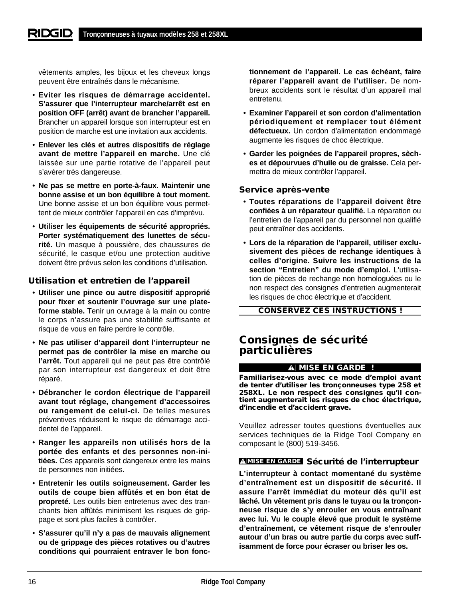vêtements amples, les bijoux et les cheveux longs peuvent être entraînés dans le mécanisme.

- **Eviter les risques de démarrage accidentel. S'assurer que l'interrupteur marche/arrêt est en position OFF (arrêt) avant de brancher l'appareil.** Brancher un appareil lorsque son interrupteur est en position de marche est une invitation aux accidents.
- **Enlever les clés et autres dispositifs de réglage avant de mettre l'appareil en marche.** Une clé laissée sur une partie rotative de l'appareil peut s'avérer très dangereuse.
- **Ne pas se mettre en porte-à-faux. Maintenir une bonne assise et un bon équilibre à tout moment.** Une bonne assise et un bon équilibre vous permettent de mieux contrôler l'appareil en cas d'imprévu.
- **Utiliser les équipements de sécurité appropriés. Porter systématiquement des lunettes de sécurité.** Un masque à poussière, des chaussures de sécurité, le casque et/ou une protection auditive doivent être prévus selon les conditions d'utilisation.

# **Utilisation et entretien de l'appareil**

- **Utiliser une pince ou autre dispositif approprié pour fixer et soutenir l'ouvrage sur une plateforme stable.** Tenir un ouvrage à la main ou contre le corps n'assure pas une stabilité suffisante et risque de vous en faire perdre le contrôle.
- **Ne pas utiliser d'appareil dont l'interrupteur ne permet pas de contrôler la mise en marche ou l'arrêt.** Tout appareil qui ne peut pas être contrôlé par son interrupteur est dangereux et doit être réparé.
- **Débrancher le cordon électrique de l'appareil avant tout réglage, changement d'accessoires ou rangement de celui-ci.** De telles mesures préventives réduisent le risque de démarrage accidentel de l'appareil.
- **Ranger les appareils non utilisés hors de la portée des enfants et des personnes non-initiées.** Ces appareils sont dangereux entre les mains de personnes non initiées.
- **Entretenir les outils soigneusement. Garder les outils de coupe bien affûtés et en bon état de propreté.** Les outils bien entretenus avec des tranchants bien affûtés minimisent les risques de grippage et sont plus faciles à contrôler.
- **S'assurer qu'il n'y a pas de mauvais alignement ou de grippage des pièces rotatives ou d'autres conditions qui pourraient entraver le bon fonc-**

**tionnement de l'appareil. Le cas échéant, faire réparer l'appareil avant de l'utiliser.** De nombreux accidents sont le résultat d'un appareil mal entretenu.

- **Examiner l'appareil et son cordon d'alimentation périodiquement et remplacer tout élément défectueux.** Un cordon d'alimentation endommagé augmente les risques de choc électrique.
- **Garder les poignées de l'appareil propres, sèches et dépourvues d'huile ou de graisse.** Cela permettra de mieux contrôler l'appareil.

## **Service après-vente**

- **Toutes réparations de l'appareil doivent être confiées à un réparateur qualifié.** La réparation ou l'entretien de l'appareil par du personnel non qualifié peut entraîner des accidents.
- **Lors de la réparation de l'appareil, utiliser exclusivement des pièces de rechange identiques à celles d'origine. Suivre les instructions de la section "Entretien" du mode d'emploi.** L'utilisation de pièces de rechange non homologuées ou le non respect des consignes d'entretien augmenterait les risques de choc électrique et d'accident.

**CONSERVEZ CES INSTRUCTIONS !**

# **Consignes de sécurité particulières**

## **MISE EN GARDE !**

**Familiarisez-vous avec ce mode d'emploi avant de tenter d'utiliser les tronçonneuses type 258 et 258XL. Le non respect des consignes qu'il contient augmenterait les risques de choc électrique, d'incendie et d'accident grave.**

Veuillez adresser toutes questions éventuelles aux services techniques de la Ridge Tool Company en composant le (800) 519-3456.

## **MISE EN GARDE Sécurité de l'interrupteur**

**L'interrupteur à contact momentané du système d'entraînement est un dispositif de sécurité. Il assure l'arrêt immédiat du moteur dès qu'il est lâché. Un vêtement pris dans le tuyau ou la tronçonneuse risque de s'y enrouler en vous entraînant avec lui. Vu le couple élevé que produit le système d'entraînement, ce vêtement risque de s'enrouler autour d'un bras ou autre partie du corps avec suffisamment de force pour écraser ou briser les os.**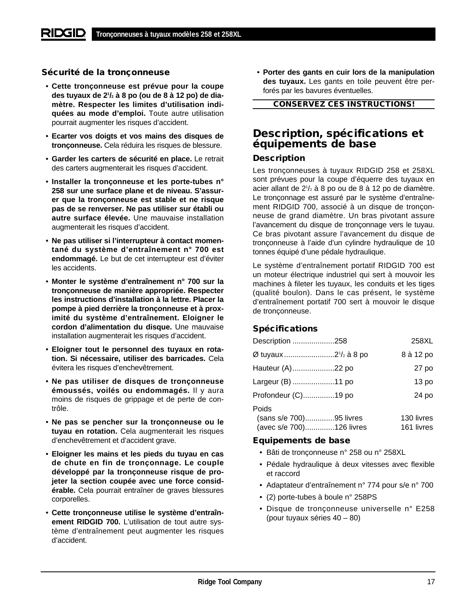## **Sécurité de la tronçonneuse**

- **Cette tronçonneuse est prévue pour la coupe des tuyaux de 21 /2 à 8 po (ou de 8 à 12 po) de diamètre. Respecter les limites d'utilisation indiquées au mode d'emploi.** Toute autre utilisation pourrait augmenter les risques d'accident.
- **Ecarter vos doigts et vos mains des disques de tronçonneuse.** Cela réduira les risques de blessure.
- **Garder les carters de sécurité en place.** Le retrait des carters augmenterait les risques d'accident.
- **Installer la tronçonneuse et les porte-tubes n° 258 sur une surface plane et de niveau. S'assurer que la tronçonneuse est stable et ne risque pas de se renverser. Ne pas utiliser sur établi ou autre surface élevée.** Une mauvaise installation augmenterait les risques d'accident.
- **Ne pas utiliser si l'interrupteur à contact momentané du système d'entraînement n° 700 est endommagé.** Le but de cet interrupteur est d'éviter les accidents.
- **Monter le système d'entraînement n° 700 sur la tronçonneuse de manière appropriée. Respecter les instructions d'installation à la lettre. Placer la pompe à pied derrière la tronçonneuse et à proximité du système d'entraînement. Eloigner le cordon d'alimentation du disque.** Une mauvaise installation augmenterait les risques d'accident.
- **Eloigner tout le personnel des tuyaux en rotation. Si nécessaire, utiliser des barricades.** Cela évitera les risques d'enchevêtrement.
- **Ne pas utiliser de disques de tronçonneuse émoussés, voilés ou endommagés.** Il y aura moins de risques de grippage et de perte de contrôle.
- **Ne pas se pencher sur la tronçonneuse ou le tuyau en rotation.** Cela augmenterait les risques d'enchevêtrement et d'accident grave.
- **Eloigner les mains et les pieds du tuyau en cas de chute en fin de tronçonnage. Le couple développé par la tronçonneuse risque de projeter la section coupée avec une force considérable.** Cela pourrait entraîner de graves blessures corporelles.
- **Cette tronçonneuse utilise le système d'entraînement RIDGID 700.** L'utilisation de tout autre système d'entraînement peut augmenter les risques d'accident.

• **Porter des gants en cuir lors de la manipulation des tuyaux.** Les gants en toile peuvent être perforés par les bavures éventuelles.

**CONSERVEZ CES INSTRUCTIONS!**

# **Description, spécifications et équipements de base**

# **Description**

Les tronçonneuses à tuyaux RIDGID 258 et 258XL sont prévues pour la coupe d'équerre des tuyaux en acier allant de 21 /2 à 8 po ou de 8 à 12 po de diamètre. Le tronçonnage est assuré par le système d'entraînement RIDGID 700, associé à un disque de tronçonneuse de grand diamètre. Un bras pivotant assure l'avancement du disque de tronçonnage vers le tuyau. Ce bras pivotant assure l'avancement du disque de tronçonneuse à l'aide d'un cylindre hydraulique de 10 tonnes équipé d'une pédale hydraulique.

Le système d'entraînement portatif RIDGID 700 est un moteur électrique industriel qui sert à mouvoir les machines à fileter les tuyaux, les conduits et les tiges (qualité boulon). Dans le cas présent, le système d'entraînement portatif 700 sert à mouvoir le disque de tronçonneuse.

# **Spécifications**

| Description 258                                              | 258XL                    |
|--------------------------------------------------------------|--------------------------|
| Ø tuyaux 2 <sup>1</sup> /2 à 8 po                            | 8 à 12 po                |
| Hauteur (A)22 po                                             | 27 po                    |
| Largeur (B) 11 po                                            | 13 po                    |
| Profondeur (C)19 po                                          | 24 po                    |
| Poids<br>(sans s/e 700)95 livres<br>(avec s/e 700)126 livres | 130 livres<br>161 livres |

## **Equipements de base**

- Bâti de tronçonneuse n° 258 ou n° 258XL
- Pédale hydraulique à deux vitesses avec flexible et raccord
- Adaptateur d'entraînement n° 774 pour s/e n° 700
- (2) porte-tubes à boule n° 258PS
- Disque de tronçonneuse universelle n° E258 (pour tuyaux séries 40 – 80)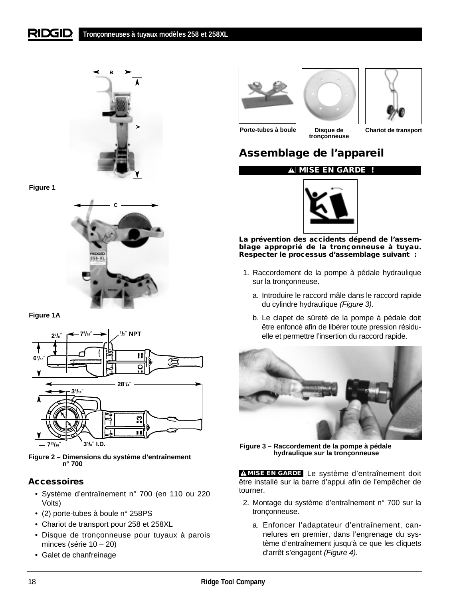#### RIDGID **Tronçonneuses à tuyaux modèles 258 et 258XL**



**Figure 1** 



**Figure 1A**



**Figure 2 – Dimensions du système d'entraînement n° 700**

# **Accessoires**

- Système d'entraînement n° 700 (en 110 ou 220 Volts)
- (2) porte-tubes à boule n° 258PS
- Chariot de transport pour 258 et 258XL
- Disque de tronçonneuse pour tuyaux à parois minces (série 10 – 20)
- Galet de chanfreinage







**Porte-tubes à boule Disque de tronçonneuse**

**Chariot de transport**

# **Assemblage de l'appareil**





**La prévention des accidents dépend de l'assemblage approprié de la tronçonneuse à tuyau. Respecter le processus d'assemblage suivant :**

- 1. Raccordement de la pompe à pédale hydraulique sur la tronçonneuse.
	- a. Introduire le raccord mâle dans le raccord rapide du cylindre hydraulique (Figure 3).
	- b. Le clapet de sûreté de la pompe à pédale doit être enfoncé afin de libérer toute pression résiduelle et permettre l'insertion du raccord rapide.



**Figure 3 – Raccordement de la pompe à pédale hydraulique sur la tronçonneuse**

**MISE EN GARDE** Le système d'entraînement doit être installé sur la barre d'appui afin de l'empêcher de tourner.

- 2. Montage du système d'entraînement n° 700 sur la tronçonneuse.
	- a. Enfoncer l'adaptateur d'entraînement, cannelures en premier, dans l'engrenage du système d'entraînement jusqu'à ce que les cliquets d'arrêt s'engagent (Figure 4).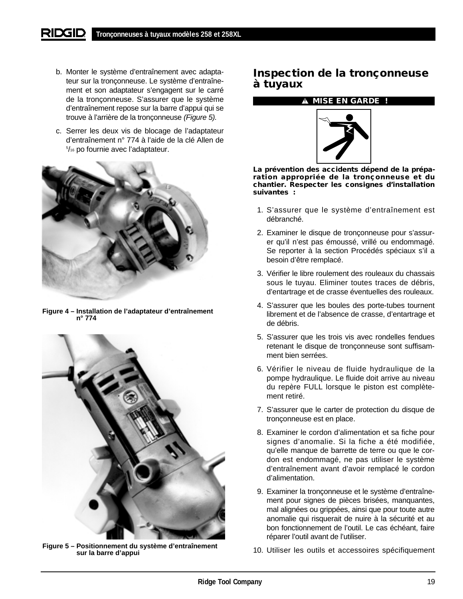- b. Monter le système d'entraînement avec adaptateur sur la tronçonneuse. Le système d'entraînement et son adaptateur s'engagent sur le carré de la tronçonneuse. S'assurer que le système d'entraînement repose sur la barre d'appui qui se trouve à l'arrière de la tronçonneuse (Figure 5).
- c. Serrer les deux vis de blocage de l'adaptateur d'entraînement n° 774 à l'aide de la clé Allen de 5 /16 po fournie avec l'adaptateur.



**Figure 4 – Installation de l'adaptateur d'entraînement n° 774**



**Figure 5 – Positionnement du système d'entraînement sur la barre d'appui**

# **Inspection de la tronçonneuse à tuyaux**

### **MISE EN GARDE !**



**La prévention des accidents dépend de la préparation appropriée de la tronçonneuse et du chantier. Respecter les consignes d'installation suivantes :**

- 1. S'assurer que le système d'entraînement est débranché.
- 2. Examiner le disque de tronçonneuse pour s'assurer qu'il n'est pas émoussé, vrillé ou endommagé. Se reporter à la section Procédés spéciaux s'il a besoin d'être remplacé.
- 3. Vérifier le libre roulement des rouleaux du chassais sous le tuyau. Eliminer toutes traces de débris, d'entartrage et de crasse éventuelles des rouleaux.
- 4. S'assurer que les boules des porte-tubes tournent librement et de l'absence de crasse, d'entartrage et de débris.
- 5. S'assurer que les trois vis avec rondelles fendues retenant le disque de tronçonneuse sont suffisamment bien serrées.
- 6. Vérifier le niveau de fluide hydraulique de la pompe hydraulique. Le fluide doit arrive au niveau du repère FULL lorsque le piston est complètement retiré.
- 7. S'assurer que le carter de protection du disque de tronçonneuse est en place.
- 8. Examiner le cordon d'alimentation et sa fiche pour signes d'anomalie. Si la fiche a été modifiée, qu'elle manque de barrette de terre ou que le cordon est endommagé, ne pas utiliser le système d'entraînement avant d'avoir remplacé le cordon d'alimentation.
- 9. Examiner la tronçonneuse et le système d'entraînement pour signes de pièces brisées, manquantes, mal alignées ou grippées, ainsi que pour toute autre anomalie qui risquerait de nuire à la sécurité et au bon fonctionnement de l'outil. Le cas échéant, faire réparer l'outil avant de l'utiliser.
- 10. Utiliser les outils et accessoires spécifiquement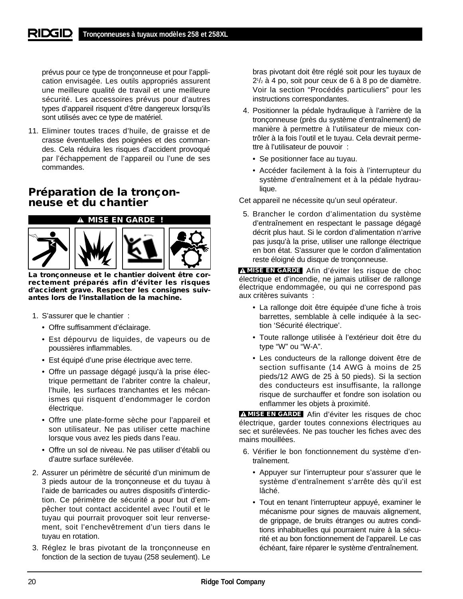prévus pour ce type de tronçonneuse et pour l'application envisagée. Les outils appropriés assurent une meilleure qualité de travail et une meilleure sécurité. Les accessoires prévus pour d'autres types d'appareil risquent d'être dangereux lorsqu'ils sont utilisés avec ce type de matériel.

11. Eliminer toutes traces d'huile, de graisse et de crasse éventuelles des poignées et des commandes. Cela réduira les risques d'accident provoqué par l'échappement de l'appareil ou l'une de ses commandes.

# **Préparation de la tronçonneuse et du chantier**

## **MISE EN GARDE !**



**La tronçonneuse et le chantier doivent être correctement préparés afin d'éviter les risques d'accident grave. Respecter les consignes suivantes lors de l'installation de la machine.**

- 1. S'assurer que le chantier :
	- Offre suffisamment d'éclairage.
	- Est dépourvu de liquides, de vapeurs ou de poussières inflammables.
	- Est équipé d'une prise électrique avec terre.
	- Offre un passage dégagé jusqu'à la prise électrique permettant de l'abriter contre la chaleur, l'huile, les surfaces tranchantes et les mécanismes qui risquent d'endommager le cordon électrique.
	- Offre une plate-forme sèche pour l'appareil et son utilisateur. Ne pas utiliser cette machine lorsque vous avez les pieds dans l'eau.
	- Offre un sol de niveau. Ne pas utiliser d'établi ou d'autre surface surélevée.
- 2. Assurer un périmètre de sécurité d'un minimum de 3 pieds autour de la tronçonneuse et du tuyau à l'aide de barricades ou autres dispositifs d'interdiction. Ce périmètre de sécurité a pour but d'empêcher tout contact accidentel avec l'outil et le tuyau qui pourrait provoquer soit leur renversement, soit l'enchevêtrement d'un tiers dans le tuyau en rotation.
- 3. Réglez le bras pivotant de la tronçonneuse en fonction de la section de tuyau (258 seulement). Le

bras pivotant doit être réglé soit pour les tuyaux de 21 /2 à 4 po, soit pour ceux de 6 à 8 po de diamètre. Voir la section "Procédés particuliers" pour les instructions correspondantes.

- 4. Positionner la pédale hydraulique à l'arrière de la tronçonneuse (près du système d'entraînement) de manière à permettre à l'utilisateur de mieux contrôler à la fois l'outil et le tuyau. Cela devrait permettre à l'utilisateur de pouvoir :
	- Se positionner face au tuyau.
	- Accéder facilement à la fois à l'interrupteur du système d'entraînement et à la pédale hydraulique.

Cet appareil ne nécessite qu'un seul opérateur.

5. Brancher le cordon d'alimentation du système d'entraînement en respectant le passage dégagé décrit plus haut. Si le cordon d'alimentation n'arrive pas jusqu'à la prise, utiliser une rallonge électrique en bon état. S'assurer que le cordon d'alimentation reste éloigné du disque de tronçonneuse.

**MISE EN GARDE** Afin d'éviter les risque de choc électrique et d'incendie, ne jamais utiliser de rallonge électrique endommagée, ou qui ne correspond pas aux critères suivants :

- La rallonge doit être équipée d'une fiche à trois barrettes, semblable à celle indiquée à la section 'Sécurité électrique'.
- Toute rallonge utilisée à l'extérieur doit être du type "W" ou "W-A".
- Les conducteurs de la rallonge doivent être de section suffisante (14 AWG à moins de 25 pieds/12 AWG de 25 à 50 pieds). Si la section des conducteurs est insuffisante, la rallonge risque de surchauffer et fondre son isolation ou enflammer les objets à proximité.

**MISE EN GARDE** Afin d'éviter les risques de choc électrique, garder toutes connexions électriques au sec et surélevées. Ne pas toucher les fiches avec des mains mouillées.

- 6. Vérifier le bon fonctionnement du système d'entraînement.
	- Appuyer sur l'interrupteur pour s'assurer que le système d'entraînement s'arrête dès qu'il est lâché.
	- Tout en tenant l'interrupteur appuyé, examiner le mécanisme pour signes de mauvais alignement, de grippage, de bruits étranges ou autres conditions inhabituelles qui pourraient nuire à la sécurité et au bon fonctionnement de l'appareil. Le cas échéant, faire réparer le système d'entraînement.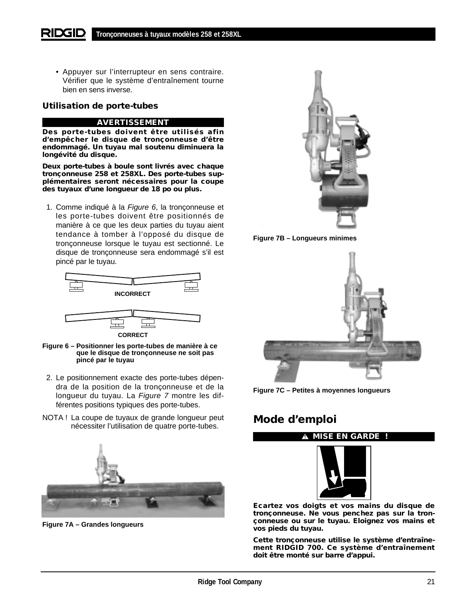• Appuyer sur l'interrupteur en sens contraire. Vérifier que le système d'entraînement tourne bien en sens inverse.

# **Utilisation de porte-tubes**

#### **AVERTISSEMENT**

**Des porte-tubes doivent être utilisés afin d'empêcher le disque de tronçonneuse d'être endommagé. Un tuyau mal soutenu diminuera la longévité du disque.**

**Deux porte-tubes à boule sont livrés avec chaque tronçonneuse 258 et 258XL. Des porte-tubes supplémentaires seront nécessaires pour la coupe des tuyaux d'une longueur de 18 po ou plus.**

1. Comme indiqué à la Figure 6, la tronçonneuse et les porte-tubes doivent être positionnés de manière à ce que les deux parties du tuyau aient tendance à tomber à l'opposé du disque de tronçonneuse lorsque le tuyau est sectionné. Le disque de tronçonneuse sera endommagé s'il est pincé par le tuyau.



**Figure 6 – Positionner les porte-tubes de manière à ce que le disque de tronçonneuse ne soit pas pincé par le tuyau**

- 2. Le positionnement exacte des porte-tubes dépendra de la position de la tronçonneuse et de la longueur du tuyau. La Figure 7 montre les différentes positions typiques des porte-tubes.
- NOTA ! La coupe de tuyaux de grande longueur peut nécessiter l'utilisation de quatre porte-tubes.



**Figure 7A – Grandes longueurs**







**Figure 7C – Petites à moyennes longueurs**

# **Mode d'emploi**

**MISE EN GARDE !**



**Ecartez vos doigts et vos mains du disque de tronçonneuse. Ne vous penchez pas sur la tronçonneuse ou sur le tuyau. Eloignez vos mains et vos pieds du tuyau.**

**Cette tronçonneuse utilise le système d'entraînement RIDGID 700. Ce système d'entraînement doit être monté sur barre d'appui.**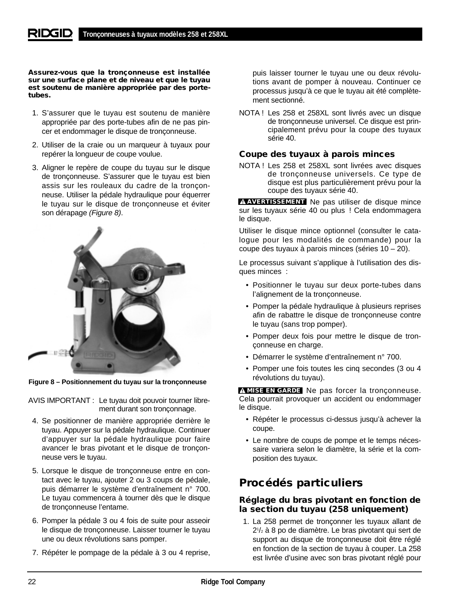**Assurez-vous que la tronçonneuse est installée sur une surface plane et de niveau et que le tuyau est soutenu de manière appropriée par des portetubes.**

- 1. S'assurer que le tuyau est soutenu de manière appropriée par des porte-tubes afin de ne pas pincer et endommager le disque de tronçonneuse.
- 2. Utiliser de la craie ou un marqueur à tuyaux pour repérer la longueur de coupe voulue.
- 3. Aligner le repère de coupe du tuyau sur le disque de tronçonneuse. S'assurer que le tuyau est bien assis sur les rouleaux du cadre de la tronçonneuse. Utiliser la pédale hydraulique pour équerrer le tuyau sur le disque de tronçonneuse et éviter son dérapage (Figure 8).



**Figure 8 – Positionnement du tuyau sur la tronçonneuse**

AVIS IMPORTANT : Le tuyau doit pouvoir tourner librement durant son tronçonnage.

- 4. Se positionner de manière appropriée derrière le tuyau. Appuyer sur la pédale hydraulique. Continuer d'appuyer sur la pédale hydraulique pour faire avancer le bras pivotant et le disque de tronçonneuse vers le tuyau.
- 5. Lorsque le disque de tronçonneuse entre en contact avec le tuyau, ajouter 2 ou 3 coups de pédale, puis démarrer le système d'entraînement n° 700. Le tuyau commencera à tourner dès que le disque de tronçonneuse l'entame.
- 6. Pomper la pédale 3 ou 4 fois de suite pour asseoir le disque de tronçonneuse. Laisser tourner le tuyau une ou deux révolutions sans pomper.
- 7. Répéter le pompage de la pédale à 3 ou 4 reprise,

puis laisser tourner le tuyau une ou deux révolutions avant de pomper à nouveau. Continuer ce processus jusqu'à ce que le tuyau ait été complètement sectionné.

NOTA ! Les 258 et 258XL sont livrés avec un disque de tronçonneuse universel. Ce disque est principalement prévu pour la coupe des tuyaux série 40.

# **Coupe des tuyaux à parois minces**

NOTA ! Les 258 et 258XL sont livrées avec disques de tronçonneuse universels. Ce type de disque est plus particulièrement prévu pour la coupe des tuyaux série 40.

**AVERTISSEMENT** Ne pas utiliser de disque mince sur les tuyaux série 40 ou plus ! Cela endommagera le disque.

Utiliser le disque mince optionnel (consulter le catalogue pour les modalités de commande) pour la coupe des tuyaux à parois minces (séries 10 – 20).

Le processus suivant s'applique à l'utilisation des disques minces :

- Positionner le tuyau sur deux porte-tubes dans l'alignement de la tronçonneuse.
- Pomper la pédale hydraulique à plusieurs reprises afin de rabattre le disque de tronçonneuse contre le tuyau (sans trop pomper).
- Pomper deux fois pour mettre le disque de tronçonneuse en charge.
- Démarrer le système d'entraînement n° 700.
- Pomper une fois toutes les cinq secondes (3 ou 4 révolutions du tuyau).

**MISE EN GARDE** Ne pas forcer la tronçonneuse. Cela pourrait provoquer un accident ou endommager le disque.

- Répéter le processus ci-dessus jusqu'à achever la coupe.
- Le nombre de coups de pompe et le temps nécessaire variera selon le diamètre, la série et la composition des tuyaux.

# **Procédés particuliers**

## **Réglage du bras pivotant en fonction de la section du tuyau (258 uniquement)**

1. La 258 permet de tronçonner les tuyaux allant de 21 /2 à 8 po de diamètre. Le bras pivotant qui sert de support au disque de tronçonneuse doit être réglé en fonction de la section de tuyau à couper. La 258 est livrée d'usine avec son bras pivotant réglé pour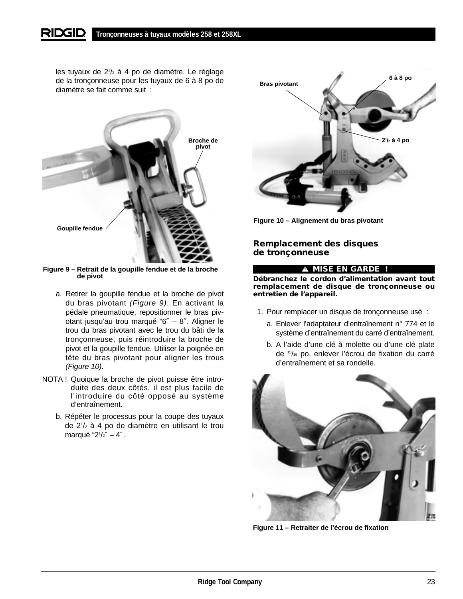#### **RIDGID Tronçonneuses à tuyaux modèles 258 et 258XL**

les tuyaux de 21 /2 à 4 po de diamètre. Le réglage de la tronçonneuse pour les tuyaux de 6 à 8 po de diamètre se fait comme suit :



**Figure 9 – Retrait de la goupille fendue et de la broche de pivot**

- a. Retirer la goupille fendue et la broche de pivot du bras pivotant (Figure 9). En activant la pédale pneumatique, repositionner le bras pivotant jusqu'au trou marqué "6″ – 8″. Aligner le trou du bras pivotant avec le trou du bâti de la tronçonneuse, puis réintroduire la broche de pivot et la goupille fendue. Utiliser la poignée en tête du bras pivotant pour aligner les trous (Figure 10).
- NOTA ! Quoique la broche de pivot puisse être introduite des deux côtés, il est plus facile de l'introduire du côté opposé au système d'entraînement.
	- b. Répéter le processus pour la coupe des tuyaux de 21 /2 à 4 po de diamètre en utilisant le trou marqué "21 /2″ – 4″.



**Figure 10 – Alignement du bras pivotant**

# **Remplacement des disques de tronçonneuse**

### **MISE EN GARDE !**

**Débranchez le cordon d'alimentation avant tout remplacement de disque de tronçonneuse ou entretien de l'appareil.**

- 1. Pour remplacer un disque de tronçonneuse usé :
	- a. Enlever l'adaptateur d'entraînement n° 774 et le système d'entraînement du carré d'entraînement.
	- b. A l'aide d'une clé à molette ou d'une clé plate de 15/16 po, enlever l'écrou de fixation du carré d'entraînement et sa rondelle.



**Figure 11 – Retraiter de l'écrou de fixation**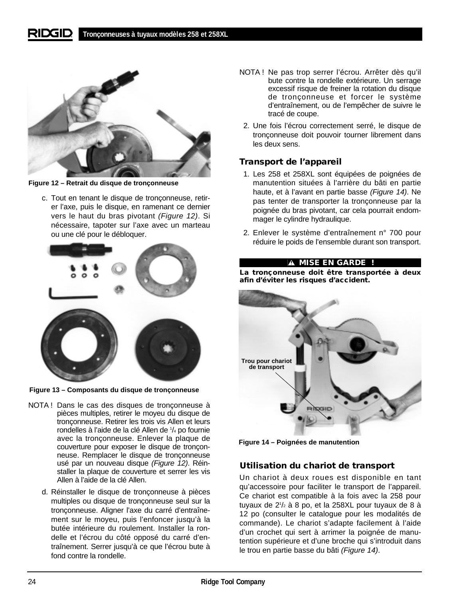

**Figure 12 – Retrait du disque de tronçonneuse**

c. Tout en tenant le disque de tronçonneuse, retirer l'axe, puis le disque, en ramenant ce dernier vers le haut du bras pivotant (Figure 12). Si nécessaire, tapoter sur l'axe avec un marteau ou une clé pour le débloquer.



**Figure 13 – Composants du disque de tronçonneuse**

- NOTA ! Dans le cas des disques de tronçonneuse à pièces multiples, retirer le moyeu du disque de tronçonneuse. Retirer les trois vis Allen et leurs rondelles à l'aide de la clé Allen de 1 /4 po fournie avec la tronçonneuse. Enlever la plaque de couverture pour exposer le disque de tronçonneuse. Remplacer le disque de tronçonneuse usé par un nouveau disque (Figure 12). Réinstaller la plaque de couverture et serrer les vis Allen à l'aide de la clé Allen.
	- d. Réinstaller le disque de tronçonneuse à pièces multiples ou disque de tronçonneuse seul sur la tronçonneuse. Aligner l'axe du carré d'entraînement sur le moyeu, puis l'enfoncer jusqu'à la butée intérieure du roulement. Installer la rondelle et l'écrou du côté opposé du carré d'entraînement. Serrer jusqu'à ce que l'écrou bute à fond contre la rondelle.
- NOTA ! Ne pas trop serrer l'écrou. Arrêter dès qu'il bute contre la rondelle extérieure. Un serrage excessif risque de freiner la rotation du disque de tronçonneuse et forcer le système d'entraînement, ou de l'empêcher de suivre le tracé de coupe.
- 2. Une fois l'écrou correctement serré, le disque de tronçonneuse doit pouvoir tourner librement dans les deux sens.

# **Transport de l'appareil**

- 1. Les 258 et 258XL sont équipées de poignées de manutention situées à l'arrière du bâti en partie haute, et à l'avant en partie basse (Figure 14). Ne pas tenter de transporter la tronçonneuse par la poignée du bras pivotant, car cela pourrait endommager le cylindre hydraulique.
- 2. Enlever le système d'entraînement n° 700 pour réduire le poids de l'ensemble durant son transport.

# **MISE EN GARDE !**

**La tronçonneuse doit être transportée à deux afin d'éviter les risques d'accident.**



**Figure 14 – Poignées de manutention**

# **Utilisation du chariot de transport**

Un chariot à deux roues est disponible en tant qu'accessoire pour faciliter le transport de l'appareil. Ce chariot est compatible à la fois avec la 258 pour tuyaux de 21 /2 à 8 po, et la 258XL pour tuyaux de 8 à 12 po (consulter le catalogue pour les modalités de commande). Le chariot s'adapte facilement à l'aide d'un crochet qui sert à arrimer la poignée de manutention supérieure et d'une broche qui s'introduit dans le trou en partie basse du bâti (Figure 14).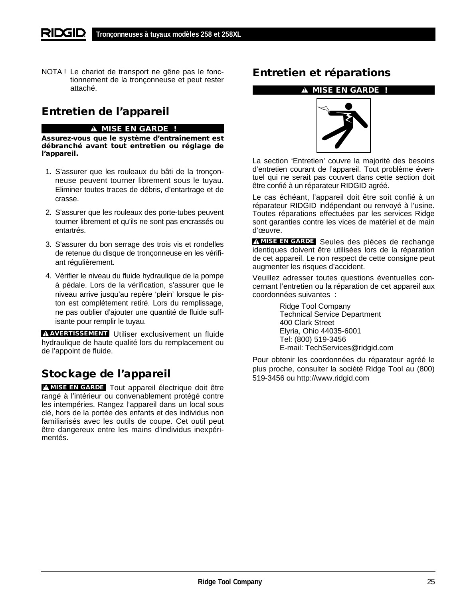NOTA ! Le chariot de transport ne gêne pas le fonctionnement de la tronçonneuse et peut rester attaché.

# **Entretien de l'appareil**

## **A MISE EN GARDE !**

**Assurez-vous que le système d'entraînement est débranché avant tout entretien ou réglage de l'appareil.**

- 1. S'assurer que les rouleaux du bâti de la tronçonneuse peuvent tourner librement sous le tuyau. Eliminer toutes traces de débris, d'entartrage et de crasse.
- 2. S'assurer que les rouleaux des porte-tubes peuvent tourner librement et qu'ils ne sont pas encrassés ou entartrés.
- 3. S'assurer du bon serrage des trois vis et rondelles de retenue du disque de tronçonneuse en les vérifiant régulièrement.
- 4. Vérifier le niveau du fluide hydraulique de la pompe à pédale. Lors de la vérification, s'assurer que le niveau arrive jusqu'au repère 'plein' lorsque le piston est complètement retiré. Lors du remplissage, ne pas oublier d'ajouter une quantité de fluide suffisante pour remplir le tuyau.

**AVERTISSEMENT** Utiliser exclusivement un fluide hydraulique de haute qualité lors du remplacement ou de l'appoint de fluide.

# **Stockage de l'appareil**

**MISE EN GARDE** Tout appareil électrique doit être rangé à l'intérieur ou convenablement protégé contre les intempéries. Rangez l'appareil dans un local sous clé, hors de la portée des enfants et des individus non familiarisés avec les outils de coupe. Cet outil peut être dangereux entre les mains d'individus inexpérimentés.

# **Entretien et réparations**

### **MISE EN GARDE !**



La section 'Entretien' couvre la majorité des besoins d'entretien courant de l'appareil. Tout problème éventuel qui ne serait pas couvert dans cette section doit être confié à un réparateur RIDGID agréé.

Le cas échéant, l'appareil doit être soit confié à un réparateur RIDGID indépendant ou renvoyé à l'usine. Toutes réparations effectuées par les services Ridge sont garanties contre les vices de matériel et de main d'œuvre.

**MISE EN GARDE** Seules des pièces de rechange identiques doivent être utilisées lors de la réparation de cet appareil. Le non respect de cette consigne peut augmenter les risques d'accident.

Veuillez adresser toutes questions éventuelles concernant l'entretien ou la réparation de cet appareil aux coordonnées suivantes :

> Ridge Tool Company Technical Service Department 400 Clark Street Elyria, Ohio 44035-6001 Tel: (800) 519-3456 E-mail: TechServices@ridgid.com

Pour obtenir les coordonnées du réparateur agréé le plus proche, consulter la société Ridge Tool au (800) 519-3456 ou http://www.ridgid.com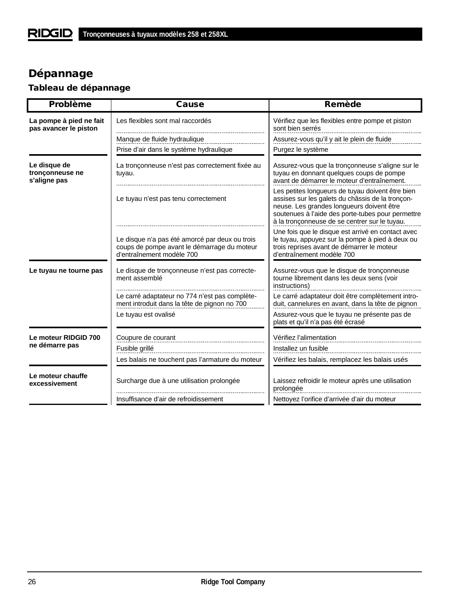# **Dépannage**

# **Tableau de dépannage**

| <b>Problème</b>                                  | <b>Cause</b>                                                                                                               | <b>Remède</b>                                                                                                                                                                                                                                           |
|--------------------------------------------------|----------------------------------------------------------------------------------------------------------------------------|---------------------------------------------------------------------------------------------------------------------------------------------------------------------------------------------------------------------------------------------------------|
| La pompe à pied ne fait<br>pas avancer le piston | Les flexibles sont mal raccordés                                                                                           | Vérifiez que les flexibles entre pompe et piston<br>sont bien serrés                                                                                                                                                                                    |
|                                                  | Manque de fluide hydraulique                                                                                               | Assurez-vous qu'il y ait le plein de fluide                                                                                                                                                                                                             |
|                                                  | Prise d'air dans le système hydraulique                                                                                    | Purgez le système                                                                                                                                                                                                                                       |
| Le disque de<br>tronçonneuse ne<br>s'aligne pas  | La tronçonneuse n'est pas correctement fixée au<br>tuyau.                                                                  | Assurez-vous que la tronçonneuse s'aligne sur le<br>tuyau en donnant quelques coups de pompe<br>avant de démarrer le moteur d'entraînement.                                                                                                             |
|                                                  | Le tuyau n'est pas tenu correctement                                                                                       | Les petites longueurs de tuyau doivent être bien<br>assises sur les galets du châssis de la tronçon-<br>neuse. Les grandes longueurs doivent être<br>soutenues à l'aide des porte-tubes pour permettre<br>à la tronçonneuse de se centrer sur le tuyau. |
|                                                  | Le disque n'a pas été amorcé par deux ou trois<br>coups de pompe avant le démarrage du moteur<br>d'entraînement modèle 700 | Une fois que le disque est arrivé en contact avec<br>le tuyau, appuyez sur la pompe à pied à deux ou<br>trois reprises avant de démarrer le moteur<br>d'entraînement modèle 700                                                                         |
| Le tuyau ne tourne pas                           | Le disque de tronçonneuse n'est pas correcte-<br>ment assemblé                                                             | Assurez-vous que le disque de tronçonneuse<br>tourne librement dans les deux sens (voir<br>instructions)                                                                                                                                                |
|                                                  | Le carré adaptateur no 774 n'est pas complète-<br>ment introduit dans la tête de pignon no 700                             | Le carré adaptateur doit être complètement intro-<br>duit, cannelures en avant, dans la tête de pignon                                                                                                                                                  |
|                                                  | Le tuyau est ovalisé                                                                                                       | Assurez-vous que le tuyau ne présente pas de<br>plats et qu'il n'a pas été écrasé                                                                                                                                                                       |
| Le moteur RIDGID 700                             | Coupure de courant                                                                                                         | Vérifiez l'alimentation                                                                                                                                                                                                                                 |
| ne démarre pas                                   | Fusible grillé                                                                                                             | Installez un fusible                                                                                                                                                                                                                                    |
|                                                  | Les balais ne touchent pas l'armature du moteur                                                                            | Vérifiez les balais, remplacez les balais usés                                                                                                                                                                                                          |
| Le moteur chauffe<br>excessivement               | Surcharge due à une utilisation prolongée                                                                                  | Laissez refroidir le moteur après une utilisation<br>prolongée                                                                                                                                                                                          |
|                                                  | Insuffisance d'air de refroidissement                                                                                      | Nettoyez l'orifice d'arrivée d'air du moteur                                                                                                                                                                                                            |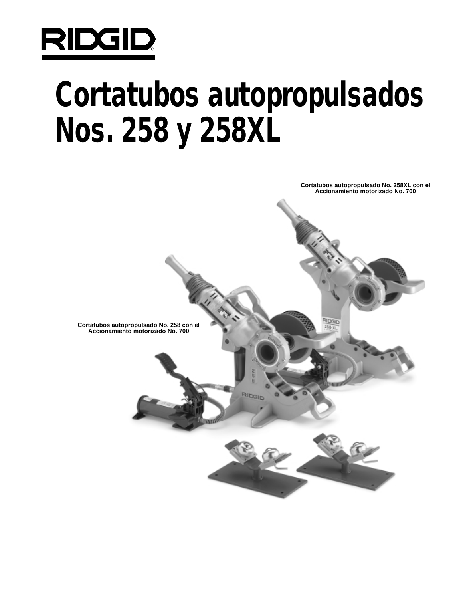

# **Cortatubos autopropulsados Nos. 258 y 258XL**

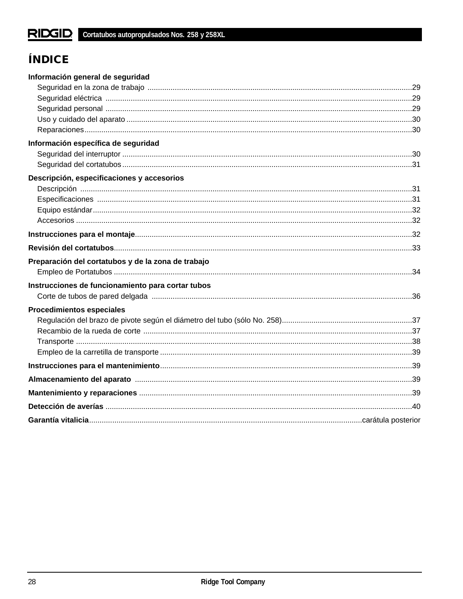# **ÍNDICE**

| Información general de seguridad                   |  |
|----------------------------------------------------|--|
|                                                    |  |
|                                                    |  |
|                                                    |  |
|                                                    |  |
|                                                    |  |
| Información específica de seguridad                |  |
|                                                    |  |
|                                                    |  |
| Descripción, especificaciones y accesorios         |  |
|                                                    |  |
|                                                    |  |
|                                                    |  |
|                                                    |  |
|                                                    |  |
|                                                    |  |
| Preparación del cortatubos y de la zona de trabajo |  |
|                                                    |  |
| Instrucciones de funcionamiento para cortar tubos  |  |
|                                                    |  |
| <b>Procedimientos especiales</b>                   |  |
|                                                    |  |
|                                                    |  |
|                                                    |  |
|                                                    |  |
|                                                    |  |
|                                                    |  |
|                                                    |  |
|                                                    |  |
|                                                    |  |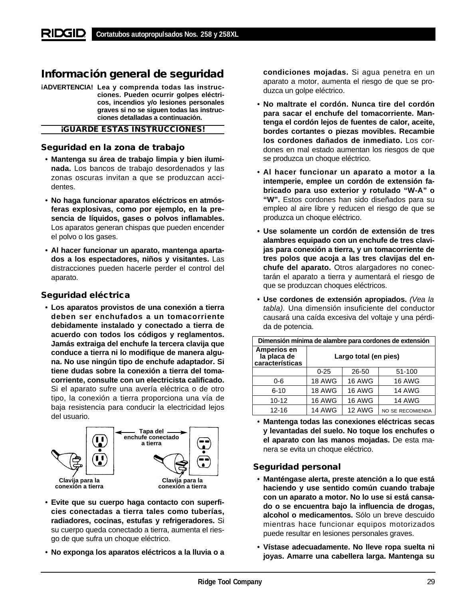# **Información general de seguridad**

**¡ADVERTENCIA! Lea y comprenda todas las instrucciones. Pueden ocurrir golpes eléctricos, incendios y/o lesiones personales graves si no se siguen todas las instrucciones detalladas a continuación.**

#### **¡GUARDE ESTAS INSTRUCCIONES!**

## **Seguridad en la zona de trabajo**

- **Mantenga su área de trabajo limpia y bien iluminada.** Los bancos de trabajo desordenados y las zonas oscuras invitan a que se produzcan accidentes.
- **No haga funcionar aparatos eléctricos en atmósferas explosivas, como por ejemplo, en la presencia de líquidos, gases o polvos inflamables.** Los aparatos generan chispas que pueden encender el polvo o los gases.
- **Al hacer funcionar un aparato, mantenga apartados a los espectadores, niños y visitantes.** Las distracciones pueden hacerle perder el control del aparato.

## **Seguridad eléctrica**

• **Los aparatos provistos de una conexión a tierra deben ser enchufados a un tomacorriente debidamente instalado y conectado a tierra de acuerdo con todos los códigos y reglamentos. Jamás extraiga del enchufe la tercera clavija que conduce a tierra ni lo modifique de manera alguna. No use ningún tipo de enchufe adaptador. Si tiene dudas sobre la conexión a tierra del tomacorriente, consulte con un electricista calificado.** Si el aparato sufre una avería eléctrica o de otro tipo, la conexión a tierra proporciona una vía de baja resistencia para conducir la electricidad lejos del usuario.



- **Evite que su cuerpo haga contacto con superficies conectadas a tierra tales como tuberías, radiadores, cocinas, estufas y refrigeradores.** Si su cuerpo queda conectado a tierra, aumenta el riesgo de que sufra un choque eléctrico.
- **No exponga los aparatos eléctricos a la lluvia o a**

**condiciones mojadas.** Si agua penetra en un aparato a motor, aumenta el riesgo de que se produzca un golpe eléctrico.

- **No maltrate el cordón. Nunca tire del cordón para sacar el enchufe del tomacorriente. Mantenga el cordón lejos de fuentes de calor, aceite, bordes cortantes o piezas movibles. Recambie los cordones dañados de inmediato.** Los cordones en mal estado aumentan los riesgos de que se produzca un choque eléctrico.
- **Al hacer funcionar un aparato a motor a la intemperie, emplee un cordón de extensión fabricado para uso exterior y rotulado "W-A" o "W".** Estos cordones han sido diseñados para su empleo al aire libre y reducen el riesgo de que se produzca un choque eléctrico.
- **Use solamente un cordón de extensión de tres alambres equipado con un enchufe de tres clavijas para conexión a tierra, y un tomacorriente de tres polos que acoja a las tres clavijas del enchufe del aparato.** Otros alargadores no conectarán el aparato a tierra y aumentará el riesgo de que se produzcan choques eléctricos.
- **Use cordones de extensión apropiados.** (Vea la tabla). Una dimensión insuficiente del conductor causará una caída excesiva del voltaje y una pérdida de potencia.

| Dimensión mínima de alambre para cordones de extensión |                       |               |                  |
|--------------------------------------------------------|-----------------------|---------------|------------------|
| <b>Amperios en</b><br>la placa de<br>características   | Largo total (en pies) |               |                  |
|                                                        | $0 - 25$              | 26-50         | 51-100           |
| $0 - 6$                                                | <b>18 AWG</b>         | <b>16 AWG</b> | <b>16 AWG</b>    |
| $6 - 10$                                               | <b>18 AWG</b>         | <b>16 AWG</b> | <b>14 AWG</b>    |
| $10 - 12$                                              | <b>16 AWG</b>         | <b>16 AWG</b> | <b>14 AWG</b>    |
| $12 - 16$                                              | <b>14 AWG</b>         | 12 AWG        | NO SE RECOMIENDA |

• **Mantenga todas las conexiones eléctricas secas y levantadas del suelo. No toque los enchufes o el aparato con las manos mojadas.** De esta manera se evita un choque eléctrico.

# **Seguridad personal**

- **Manténgase alerta, preste atención a lo que está haciendo y use sentido común cuando trabaje con un aparato a motor. No lo use si está cansado o se encuentra bajo la influencia de drogas, alcohol o medicamentos.** Sólo un breve descuido mientras hace funcionar equipos motorizados puede resultar en lesiones personales graves.
- **Vístase adecuadamente. No lleve ropa suelta ni joyas. Amarre una cabellera larga. Mantenga su**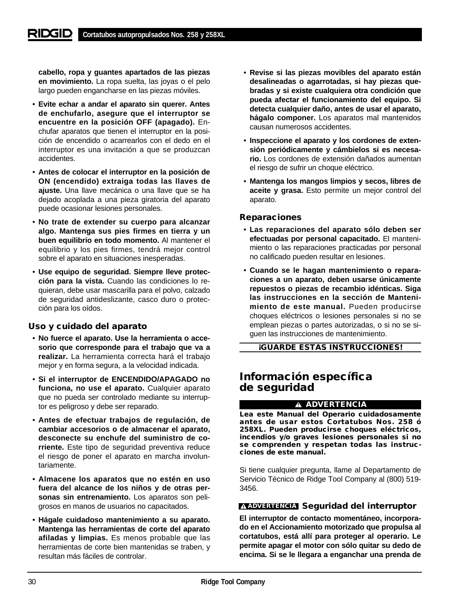**cabello, ropa y guantes apartados de las piezas en movimiento.** La ropa suelta, las joyas o el pelo largo pueden engancharse en las piezas móviles.

- **Evite echar a andar el aparato sin querer. Antes de enchufarlo, asegure que el interruptor se encuentre en la posición OFF (apagado).** Enchufar aparatos que tienen el interruptor en la posición de encendido o acarrearlos con el dedo en el interruptor es una invitación a que se produzcan accidentes.
- **Antes de colocar el interruptor en la posición de ON (encendido) extraiga todas las llaves de ajuste.** Una llave mecánica o una llave que se ha dejado acoplada a una pieza giratoria del aparato puede ocasionar lesiones personales.
- **No trate de extender su cuerpo para alcanzar algo. Mantenga sus pies firmes en tierra y un buen equilibrio en todo momento.** Al mantener el equilibrio y los pies firmes, tendrá mejor control sobre el aparato en situaciones inesperadas.
- **Use equipo de seguridad. Siempre lleve protección para la vista.** Cuando las condiciones lo requieran, debe usar mascarilla para el polvo, calzado de seguridad antideslizante, casco duro o protección para los oídos.

## **Uso y cuidado del aparato**

- **No fuerce el aparato. Use la herramienta o accesorio que corresponde para el trabajo que va a realizar.** La herramienta correcta hará el trabajo mejor y en forma segura, a la velocidad indicada.
- **Si el interruptor de ENCENDIDO/APAGADO no funciona, no use el aparato.** Cualquier aparato que no pueda ser controlado mediante su interruptor es peligroso y debe ser reparado.
- **Antes de efectuar trabajos de regulación, de cambiar accesorios o de almacenar el aparato, desconecte su enchufe del suministro de corriente.** Este tipo de seguridad preventiva reduce el riesgo de poner el aparato en marcha involuntariamente.
- **Almacene los aparatos que no estén en uso fuera del alcance de los niños y de otras personas sin entrenamiento.** Los aparatos son peligrosos en manos de usuarios no capacitados.
- **Hágale cuidadoso mantenimiento a su aparato. Mantenga las herramientas de corte del aparato afiladas y limpias.** Es menos probable que las herramientas de corte bien mantenidas se traben, y resultan más fáciles de controlar.
- **Revise si las piezas movibles del aparato están desalineadas o agarrotadas, si hay piezas quebradas y si existe cualquiera otra condición que pueda afectar el funcionamiento del equipo. Si detecta cualquier daño, antes de usar el aparato, hágalo componer.** Los aparatos mal mantenidos causan numerosos accidentes.
- **Inspeccione el aparato y los cordones de extensión periódicamente y cámbielos si es necesario.** Los cordones de extensión dañados aumentan el riesgo de sufrir un choque eléctrico.
- **Mantenga los mangos limpios y secos, libres de aceite y grasa.** Esto permite un mejor control del aparato.

## **Reparaciones**

- **Las reparaciones del aparato sólo deben ser efectuadas por personal capacitado.** El mantenimiento o las reparaciones practicadas por personal no calificado pueden resultar en lesiones.
- **Cuando se le hagan mantenimiento o reparaciones a un aparato, deben usarse únicamente repuestos o piezas de recambio idénticas. Siga las instrucciones en la sección de Mantenimiento de este manual.** Pueden producirse choques eléctricos o lesiones personales si no se emplean piezas o partes autorizadas, o si no se siguen las instrucciones de mantenimiento.

**¡GUARDE ESTAS INSTRUCCIONES!**

# **Información específica de seguridad**

### **ADVERTENCIA**

**Lea este Manual del Operario cuidadosamente antes de usar estos Cortatubos Nos. 258 ó 258XL. Pueden producirse choques eléctricos, incendios y/o graves lesiones personales si no se comprenden y respetan todas las instrucciones de este manual.**

Si tiene cualquier pregunta, llame al Departamento de Servicio Técnico de Ridge Tool Company al (800) 519- 3456.

# **Seguridad del interruptor ADVERTENCIA**

**El interruptor de contacto momentáneo, incorporado en el Accionamiento motorizado que propulsa al cortatubos, está allí para proteger al operario. Le permite apagar el motor con sólo quitar su dedo de encima. Si se le llegara a enganchar una prenda de**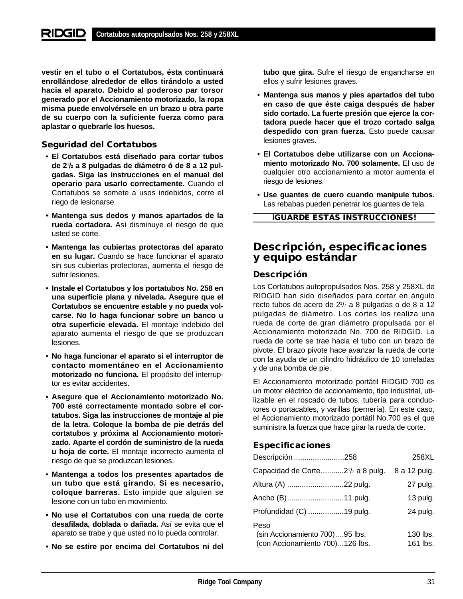**vestir en el tubo o el Cortatubos, ésta continuará enrollándose alrededor de ellos tirándolo a usted hacia el aparato. Debido al poderoso par torsor generado por el Accionamiento motorizado, la ropa misma puede envolvérsele en un brazo u otra parte de su cuerpo con la suficiente fuerza como para aplastar o quebrarle los huesos.**

# **Seguridad del Cortatubos**

- **El Cortatubos está diseñado para cortar tubos de 21 /2 a 8 pulgadas de diámetro ó de 8 a 12 pulgadas. Siga las instrucciones en el manual del operario para usarlo correctamente.** Cuando el Cortatubos se somete a usos indebidos, corre el riego de lesionarse.
- **Mantenga sus dedos y manos apartados de la rueda cortadora.** Así disminuye el riesgo de que usted se corte.
- **Mantenga las cubiertas protectoras del aparato en su lugar.** Cuando se hace funcionar el aparato sin sus cubiertas protectoras, aumenta el riesgo de sufrir lesiones.
- **Instale el Cortatubos y los portatubos No. 258 en una superficie plana y nivelada. Asegure que el Cortatubos se encuentre estable y no pueda volcarse. No lo haga funcionar sobre un banco u otra superficie elevada.** El montaje indebido del aparato aumenta el riesgo de que se produzcan lesiones.
- **No haga funcionar el aparato si el interruptor de contacto momentáneo en el Accionamiento motorizado no funciona.** El propósito del interruptor es evitar accidentes.
- **Asegure que el Accionamiento motorizado No. 700 esté correctamente montado sobre el cortatubos. Siga las instrucciones de montaje al pie de la letra. Coloque la bomba de pie detrás del cortatubos y próxima al Accionamiento motorizado. Aparte el cordón de suministro de la rueda u hoja de corte.** El montaje incorrecto aumenta el riesgo de que se produzcan lesiones.
- **Mantenga a todos los presentes apartados de un tubo que está girando. Si es necesario, coloque barreras.** Esto impide que alguien se lesione con un tubo en movimiento.
- **No use el Cortatubos con una rueda de corte desafilada, doblada o dañada.** Así se evita que el aparato se trabe y que usted no lo pueda controlar.
- **No se estire por encima del Cortatubos ni del**

**tubo que gira.** Sufre el riesgo de engancharse en ellos y sufrir lesiones graves.

- **Mantenga sus manos y pies apartados del tubo en caso de que éste caiga después de haber sido cortado. La fuerte presión que ejerce la cortadora puede hacer que el trozo cortado salga despedido con gran fuerza.** Esto puede causar lesiones graves.
- **El Cortatubos debe utilizarse con un Accionamiento motorizado No. 700 solamente.** El uso de cualquier otro accionamiento a motor aumenta el riesgo de lesiones.
- **Use guantes de cuero cuando manipule tubos.** Las rebabas pueden penetrar los guantes de tela.

**¡GUARDE ESTAS INSTRUCCIONES!**

# **Descripción, especificaciones y equipo estándar**

# **Descripción**

Los Cortatubos autopropulsados Nos. 258 y 258XL de RIDGID han sido diseñados para cortar en ángulo recto tubos de acero de 21 /2 a 8 pulgadas o de 8 a 12 pulgadas de diámetro. Los cortes los realiza una rueda de corte de gran diámetro propulsada por el Accionamiento motorizado No. 700 de RIDGID. La rueda de corte se trae hacia el tubo con un brazo de pivote. El brazo pivote hace avanzar la rueda de corte con la ayuda de un cilindro hidráulico de 10 toneladas y de una bomba de pie.

El Accionamiento motorizado portátil RIDGID 700 es un motor eléctrico de accionamiento, tipo industrial, utilizable en el roscado de tubos, tubería para conductores o portacables, y varillas (pernería). En este caso, el Accionamiento motorizado portátil No.700 es el que suministra la fuerza que hace girar la rueda de corte.

# **Especificaciones**

| Descripción 258                                                            | 258XL                |
|----------------------------------------------------------------------------|----------------------|
| Capacidad de Corte2 <sup>1</sup> / <sub>2</sub> a 8 pulg.                  | 8 a 12 pulg.         |
|                                                                            | 27 pulg.             |
| Ancho (B)11 pulg.                                                          | 13 pulg.             |
| Profundidad (C) 19 pulg.                                                   | 24 pulg.             |
| Peso<br>(sin Accionamiento 700) 95 lbs.<br>(con Accionamiento 700)126 lbs. | 130 lbs.<br>161 lbs. |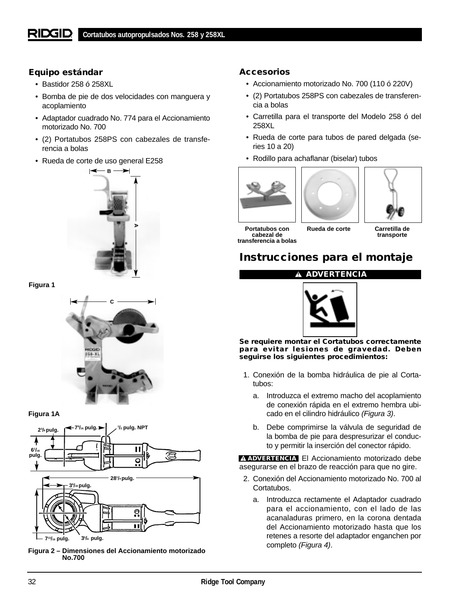# **Equipo estándar**

- Bastidor 258 ó 258XL
- Bomba de pie de dos velocidades con manguera y acoplamiento
- Adaptador cuadrado No. 774 para el Accionamiento motorizado No. 700
- (2) Portatubos 258PS con cabezales de transferencia a bolas
- Rueda de corte de uso general E258







#### **Figura 1A**



**Figura 2 – Dimensiones del Accionamiento motorizado No.700**

## **Accesorios**

- Accionamiento motorizado No. 700 (110 ó 220V)
- (2) Portatubos 258PS con cabezales de transferencia a bolas
- Carretilla para el transporte del Modelo 258 ó del 258XL
- Rueda de corte para tubos de pared delgada (series 10 a 20)
- Rodillo para achaflanar (biselar) tubos







**Portatubos con cabezal de transferencia a bolas**

**Rueda de corte Carretilla de transporte**

# **Instrucciones para el montaje**

## **ADVERTENCIA**



**Se requiere montar el Cortatubos correctamente para evitar lesiones de gravedad. Deben seguirse los siguientes procedimientos:**

- 1. Conexión de la bomba hidráulica de pie al Cortatubos:
	- a. Introduzca el extremo macho del acoplamiento de conexión rápida en el extremo hembra ubicado en el cilindro hidráulico (Figura 3).
	- b. Debe comprimirse la válvula de seguridad de la bomba de pie para despresurizar el conducto y permitir la inserción del conector rápido.

**ADVERTENCIA** El Accionamiento motorizado debe asegurarse en el brazo de reacción para que no gire.

- 2. Conexión del Accionamiento motorizado No. 700 al Cortatubos.
	- a. Introduzca rectamente el Adaptador cuadrado para el accionamiento, con el lado de las acanaladuras primero, en la corona dentada del Accionamiento motorizado hasta que los retenes a resorte del adaptador enganchen por completo (Figura 4).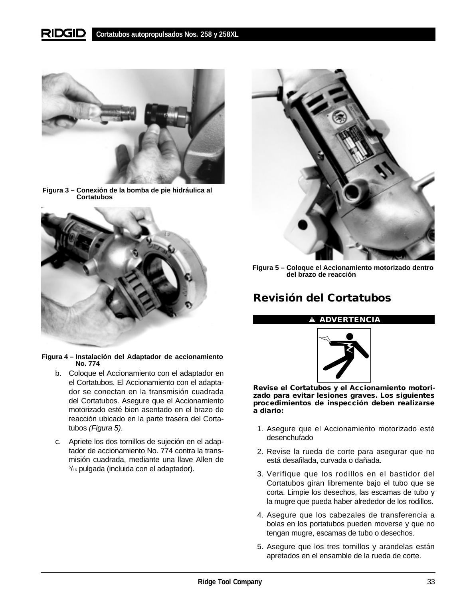#### RIDGIE **Cortatubos autopropulsados Nos. 258 y 258XL**



**Figura 3 – Conexión de la bomba de pie hidráulica al Cortatubos**



**Figura 4 – Instalación del Adaptador de accionamiento No. 774**

- b. Coloque el Accionamiento con el adaptador en el Cortatubos. El Accionamiento con el adaptador se conectan en la transmisión cuadrada del Cortatubos. Asegure que el Accionamiento motorizado esté bien asentado en el brazo de reacción ubicado en la parte trasera del Cortatubos (Figura 5).
- c. Apriete los dos tornillos de sujeción en el adaptador de accionamiento No. 774 contra la transmisión cuadrada, mediante una llave Allen de 5 /16 pulgada (incluida con el adaptador).



**Figura 5 – Coloque el Accionamiento motorizado dentro del brazo de reacción** 

# **Revisión del Cortatubos**

### **ADVERTENCIA**



**Revise el Cortatubos y el Accionamiento motorizado para evitar lesiones graves. Los siguientes procedimientos de inspección deben realizarse a diario:**

- 1. Asegure que el Accionamiento motorizado esté desenchufado
- 2. Revise la rueda de corte para asegurar que no está desafilada, curvada o dañada.
- 3. Verifique que los rodillos en el bastidor del Cortatubos giran libremente bajo el tubo que se corta. Limpie los desechos, las escamas de tubo y la mugre que pueda haber alrededor de los rodillos.
- 4. Asegure que los cabezales de transferencia a bolas en los portatubos pueden moverse y que no tengan mugre, escamas de tubo o desechos.
- 5. Asegure que los tres tornillos y arandelas están apretados en el ensamble de la rueda de corte.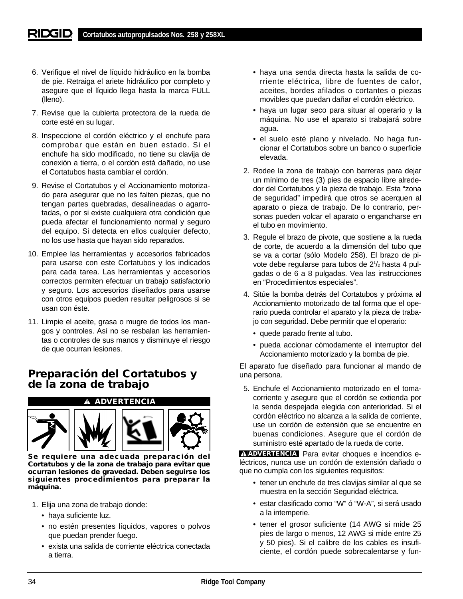- 6. Verifique el nivel de líquido hidráulico en la bomba de pie. Retraiga el ariete hidráulico por completo y asegure que el líquido llega hasta la marca FULL (lleno).
- 7. Revise que la cubierta protectora de la rueda de corte esté en su lugar.
- 8. Inspeccione el cordón eléctrico y el enchufe para comprobar que están en buen estado. Si el enchufe ha sido modificado, no tiene su clavija de conexión a tierra, o el cordón está dañado, no use el Cortatubos hasta cambiar el cordón.
- 9. Revise el Cortatubos y el Accionamiento motorizado para asegurar que no les falten piezas, que no tengan partes quebradas, desalineadas o agarrotadas, o por si existe cualquiera otra condición que pueda afectar el funcionamiento normal y seguro del equipo. Si detecta en ellos cualquier defecto, no los use hasta que hayan sido reparados.
- 10. Emplee las herramientas y accesorios fabricados para usarse con este Cortatubos y los indicados para cada tarea. Las herramientas y accesorios correctos permiten efectuar un trabajo satisfactorio y seguro. Los accesorios diseñados para usarse con otros equipos pueden resultar peligrosos si se usan con éste.
- 11. Limpie el aceite, grasa o mugre de todos los mangos y controles. Así no se resbalan las herramientas o controles de sus manos y disminuye el riesgo de que ocurran lesiones.

# **Preparación del Cortatubos y de la zona de trabajo**

**ADVERTENCIA**



**Se requiere una adecuada preparación del Cortatubos y de la zona de trabajo para evitar que ocurran lesiones de gravedad. Deben seguirse los siguientes procedimientos para preparar la máquina.**

- 1. Elija una zona de trabajo donde:
	- haya suficiente luz.
	- no estén presentes líquidos, vapores o polvos que puedan prender fuego.
	- exista una salida de corriente eléctrica conectada a tierra.
- haya una senda directa hasta la salida de corriente eléctrica, libre de fuentes de calor, aceites, bordes afilados o cortantes o piezas movibles que puedan dañar el cordón eléctrico.
- haya un lugar seco para situar al operario y la máquina. No use el aparato si trabajará sobre agua.
- el suelo esté plano y nivelado. No haga funcionar el Cortatubos sobre un banco o superficie elevada.
- 2. Rodee la zona de trabajo con barreras para dejar un mínimo de tres (3) pies de espacio libre alrededor del Cortatubos y la pieza de trabajo. Esta "zona de seguridad" impedirá que otros se acerquen al aparato o pieza de trabajo. De lo contrario, personas pueden volcar el aparato o engancharse en el tubo en movimiento.
- 3. Regule el brazo de pivote, que sostiene a la rueda de corte, de acuerdo a la dimensión del tubo que se va a cortar (sólo Modelo 258). El brazo de pivote debe regularse para tubos de 2<sup>1</sup>/<sub>2</sub> hasta 4 pulgadas o de 6 a 8 pulgadas. Vea las instrucciones en "Procedimientos especiales".
- 4. Sitúe la bomba detrás del Cortatubos y próxima al Accionamiento motorizado de tal forma que el operario pueda controlar el aparato y la pieza de trabajo con seguridad. Debe permitir que el operario:
	- quede parado frente al tubo.
	- pueda accionar cómodamente el interruptor del Accionamiento motorizado y la bomba de pie.

El aparato fue diseñado para funcionar al mando de una persona.

5. Enchufe el Accionamiento motorizado en el tomacorriente y asegure que el cordón se extienda por la senda despejada elegida con anterioridad. Si el cordón eléctrico no alcanza a la salida de corriente, use un cordón de extensión que se encuentre en buenas condiciones. Asegure que el cordón de suministro esté apartado de la rueda de corte.

**ADVERTENCIA** Para evitar choques e incendios eléctricos, nunca use un cordón de extensión dañado o que no cumpla con los siguientes requisitos:

- tener un enchufe de tres clavijas similar al que se muestra en la sección Seguridad eléctrica.
- estar clasificado como "W" ó "W-A", si será usado a la intemperie.
- tener el grosor suficiente (14 AWG si mide 25 pies de largo o menos, 12 AWG si mide entre 25 y 50 pies). Si el calibre de los cables es insuficiente, el cordón puede sobrecalentarse y fun-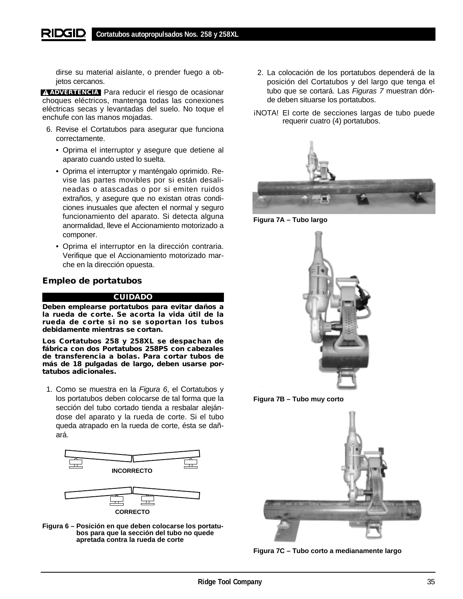dirse su material aislante, o prender fuego a objetos cercanos.

**ADVERTENCIA** Para reducir el riesgo de ocasionar choques eléctricos, mantenga todas las conexiones eléctricas secas y levantadas del suelo. No toque el enchufe con las manos mojadas.

- 6. Revise el Cortatubos para asegurar que funciona correctamente.
	- Oprima el interruptor y asegure que detiene al aparato cuando usted lo suelta.
	- Oprima el interruptor y manténgalo oprimido. Revise las partes movibles por si están desalineadas o atascadas o por si emiten ruidos extraños, y asegure que no existan otras condiciones inusuales que afecten el normal y seguro funcionamiento del aparato. Si detecta alguna anormalidad, lleve el Accionamiento motorizado a componer.
	- Oprima el interruptor en la dirección contraria. Verifique que el Accionamiento motorizado marche en la dirección opuesta.

# **Empleo de portatubos**

#### **CUIDADO**

**Deben emplearse portatubos para evitar daños a la rueda de corte. Se acorta la vida útil de la rueda de corte si no se soportan los tubos debidamente mientras se cortan.** 

**Los Cortatubos 258 y 258XL se despachan de fábrica con dos Portatubos 258PS con cabezales de transferencia a bolas. Para cortar tubos de más de 18 pulgadas de largo, deben usarse portatubos adicionales.**

1. Como se muestra en la Figura 6, el Cortatubos y los portatubos deben colocarse de tal forma que la sección del tubo cortado tienda a resbalar alejándose del aparato y la rueda de corte. Si el tubo queda atrapado en la rueda de corte, ésta se dañará.



**CORRECTO**



- 2. La colocación de los portatubos dependerá de la posición del Cortatubos y del largo que tenga el tubo que se cortará. Las Figuras 7 muestran dónde deben situarse los portatubos.
- ¡NOTA! El corte de secciones largas de tubo puede requerir cuatro (4) portatubos.



**Figura 7A – Tubo largo**





**Figura 7C – Tubo corto a medianamente largo**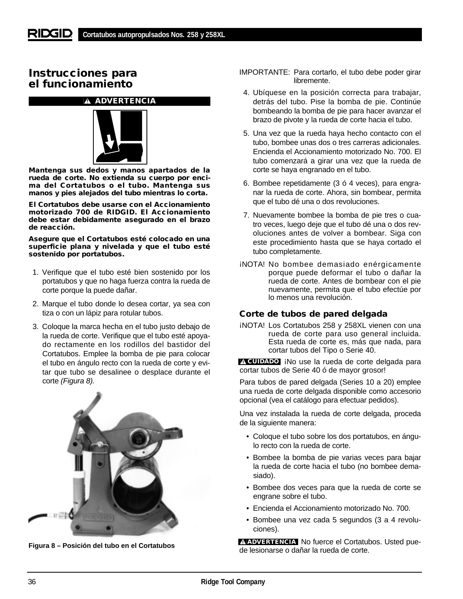# **Instrucciones para el funcionamiento**

# **ADVERTENCIA**



**Mantenga sus dedos y manos apartados de la rueda de corte. No extienda su cuerpo por encima del Cortatubos o el tubo. Mantenga sus manos y pies alejados del tubo mientras lo corta.**

**El Cortatubos debe usarse con el Accionamiento motorizado 700 de RIDGID. El Accionamiento debe estar debidamente asegurado en el brazo de reacción.**

**Asegure que el Cortatubos esté colocado en una superficie plana y nivelada y que el tubo esté sostenido por portatubos.**

- 1. Verifique que el tubo esté bien sostenido por los portatubos y que no haga fuerza contra la rueda de corte porque la puede dañar.
- 2. Marque el tubo donde lo desea cortar, ya sea con tiza o con un lápiz para rotular tubos.
- 3. Coloque la marca hecha en el tubo justo debajo de la rueda de corte. Verifique que el tubo esté apoyado rectamente en los rodillos del bastidor del Cortatubos. Emplee la bomba de pie para colocar el tubo en ángulo recto con la rueda de corte y evitar que tubo se desalinee o desplace durante el corte (Figura 8).



- IMPORTANTE: Para cortarlo, el tubo debe poder girar libremente.
- 4. Ubíquese en la posición correcta para trabajar, detrás del tubo. Pise la bomba de pie. Continúe bombeando la bomba de pie para hacer avanzar el brazo de pivote y la rueda de corte hacia el tubo.
- 5. Una vez que la rueda haya hecho contacto con el tubo, bombee unas dos o tres carreras adicionales. Encienda el Accionamiento motorizado No. 700. El tubo comenzará a girar una vez que la rueda de corte se haya engranado en el tubo.
- 6. Bombee repetidamente (3 ó 4 veces), para engranar la rueda de corte. Ahora, sin bombear, permita que el tubo dé una o dos revoluciones.
- 7. Nuevamente bombee la bomba de pie tres o cuatro veces, luego deje que el tubo dé una o dos revoluciones antes de volver a bombear. Siga con este procedimiento hasta que se haya cortado el tubo completamente.
- ¡NOTA! No bombee demasiado enérgicamente porque puede deformar el tubo o dañar la rueda de corte. Antes de bombear con el pie nuevamente, permita que el tubo efectúe por lo menos una revolución.

## **Corte de tubos de pared delgada**

¡NOTA! Los Cortatubos 258 y 258XL vienen con una rueda de corte para uso general incluida. Esta rueda de corte es, más que nada, para cortar tubos del Tipo o Serie 40.

¡No use la rueda de corte delgada para **CUIDADO**cortar tubos de Serie 40 ó de mayor grosor!

Para tubos de pared delgada (Series 10 a 20) emplee una rueda de corte delgada disponible como accesorio opcional (vea el catálogo para efectuar pedidos).

Una vez instalada la rueda de corte delgada, proceda de la siguiente manera:

- Coloque el tubo sobre los dos portatubos, en ángulo recto con la rueda de corte.
- Bombee la bomba de pie varias veces para bajar la rueda de corte hacia el tubo (no bombee demasiado).
- Bombee dos veces para que la rueda de corte se engrane sobre el tubo.
- Encienda el Accionamiento motorizado No. 700.
- Bombee una vez cada 5 segundos (3 a 4 revoluciones).

A ADVERTENCIA No fuerce el Cortatubos. Usted pue-**Figura 8 – Posición del tubo en el Cortatubos de lesionarse o dañar la rueda de corte. ADVERTENCIA**<br>ADVERTENCIA de lesionarse o dañar la rueda de corte.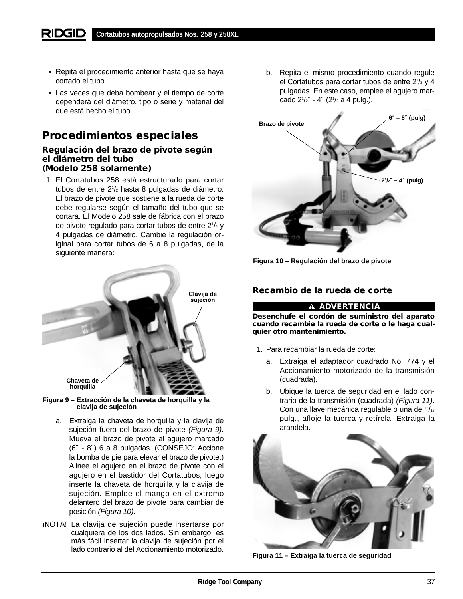- Repita el procedimiento anterior hasta que se haya cortado el tubo.
- Las veces que deba bombear y el tiempo de corte dependerá del diámetro, tipo o serie y material del que está hecho el tubo.

# **Procedimientos especiales**

## **Regulación del brazo de pivote según el diámetro del tubo (Modelo 258 solamente)**

1. El Cortatubos 258 está estructurado para cortar tubos de entre 21 /2 hasta 8 pulgadas de diámetro. El brazo de pivote que sostiene a la rueda de corte debe regularse según el tamaño del tubo que se cortará. El Modelo 258 sale de fábrica con el brazo de pivote regulado para cortar tubos de entre 21 /2 y 4 pulgadas de diámetro. Cambie la regulación original para cortar tubos de 6 a 8 pulgadas, de la siguiente manera:



**Figura 9 – Extracción de la chaveta de horquilla y la clavija de sujeción**

- a. Extraiga la chaveta de horquilla y la clavija de sujeción fuera del brazo de pivote (Figura 9). Mueva el brazo de pivote al agujero marcado (6″ - 8″) 6 a 8 pulgadas. (CONSEJO: Accione la bomba de pie para elevar el brazo de pivote.) Alinee el agujero en el brazo de pivote con el agujero en el bastidor del Cortatubos, luego inserte la chaveta de horquilla y la clavija de sujeción. Emplee el mango en el extremo delantero del brazo de pivote para cambiar de posición (Figura 10).
- ¡NOTA! La clavija de sujeción puede insertarse por cualquiera de los dos lados. Sin embargo, es más fácil insertar la clavija de sujeción por el lado contrario al del Accionamiento motorizado.

b. Repita el mismo procedimiento cuando regule el Cortatubos para cortar tubos de entre 2<sup>1</sup>/2 y 4 pulgadas. En este caso, emplee el agujero marcado 21 /2″ - 4″ (21 /2 a 4 pulg.).





# **Recambio de la rueda de corte**

### **ADVERTENCIA**

**Desenchufe el cordón de suministro del aparato cuando recambie la rueda de corte o le haga cualquier otro mantenimiento.**

- 1. Para recambiar la rueda de corte:
	- a. Extraiga el adaptador cuadrado No. 774 y el Accionamiento motorizado de la transmisión (cuadrada).
	- b. Ubique la tuerca de seguridad en el lado contrario de la transmisión (cuadrada) (Figura 11). Con una llave mecánica regulable o una de 15/16 pulg., afloje la tuerca y retírela. Extraiga la arandela.



**Figura 11 – Extraiga la tuerca de seguridad**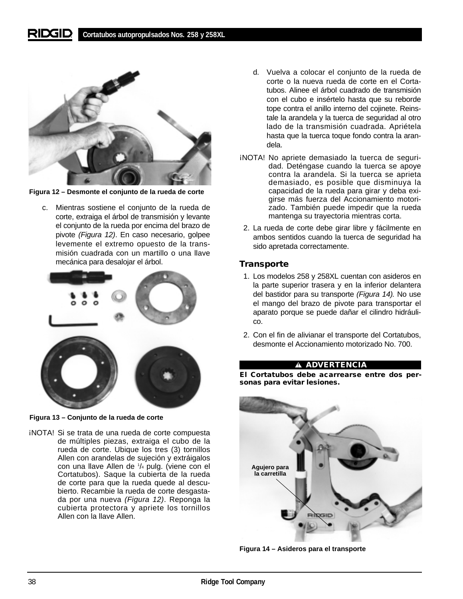

**Figura 12 – Desmonte el conjunto de la rueda de corte**

c. Mientras sostiene el conjunto de la rueda de corte, extraiga el árbol de transmisión y levante el conjunto de la rueda por encima del brazo de pivote (Figura 12). En caso necesario, golpee levemente el extremo opuesto de la transmisión cuadrada con un martillo o una llave mecánica para desalojar el árbol.



**Figura 13 – Conjunto de la rueda de corte**

¡NOTA! Si se trata de una rueda de corte compuesta de múltiples piezas, extraiga el cubo de la rueda de corte. Ubique los tres (3) tornillos Allen con arandelas de sujeción y extráigalos con una llave Allen de 1 /4 pulg. (viene con el Cortatubos). Saque la cubierta de la rueda de corte para que la rueda quede al descubierto. Recambie la rueda de corte desgastada por una nueva (Figura 12). Reponga la cubierta protectora y apriete los tornillos Allen con la llave Allen.

- d. Vuelva a colocar el conjunto de la rueda de corte o la nueva rueda de corte en el Cortatubos. Alinee el árbol cuadrado de transmisión con el cubo e insértelo hasta que su reborde tope contra el anillo interno del cojinete. Reinstale la arandela y la tuerca de seguridad al otro lado de la transmisión cuadrada. Apriétela hasta que la tuerca toque fondo contra la arandela.
- ¡NOTA! No apriete demasiado la tuerca de seguridad. Deténgase cuando la tuerca se apoye contra la arandela. Si la tuerca se aprieta demasiado, es posible que disminuya la capacidad de la rueda para girar y deba exigirse más fuerza del Accionamiento motorizado. También puede impedir que la rueda mantenga su trayectoria mientras corta.
- 2. La rueda de corte debe girar libre y fácilmente en ambos sentidos cuando la tuerca de seguridad ha sido apretada correctamente.

## **Transporte**

- 1. Los modelos 258 y 258XL cuentan con asideros en la parte superior trasera y en la inferior delantera del bastidor para su transporte (Figura 14). No use el mango del brazo de pivote para transportar el aparato porque se puede dañar el cilindro hidráulico.
- 2. Con el fin de alivianar el transporte del Cortatubos, desmonte el Accionamiento motorizado No. 700.

### **ADVERTENCIA**

**El Cortatubos debe acarrearse entre dos personas para evitar lesiones.**



**Figura 14 – Asideros para el transporte**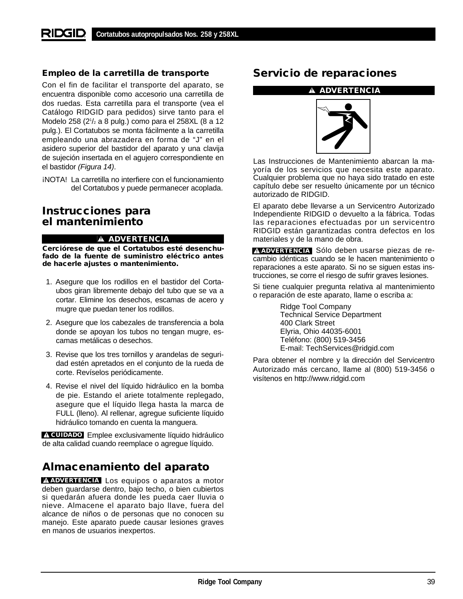# **Empleo de la carretilla de transporte**

Con el fin de facilitar el transporte del aparato, se encuentra disponible como accesorio una carretilla de dos ruedas. Esta carretilla para el transporte (vea el Catálogo RIDGID para pedidos) sirve tanto para el Modelo 258 (21 /2 a 8 pulg.) como para el 258XL (8 a 12 pulg.). El Cortatubos se monta fácilmente a la carretilla empleando una abrazadera en forma de "J" en el asidero superior del bastidor del aparato y una clavija de sujeción insertada en el agujero correspondiente en el bastidor (Figura 14).

¡NOTA! La carretilla no interfiere con el funcionamiento del Cortatubos y puede permanecer acoplada.

# **Instrucciones para el mantenimiento**

## **ADVERTENCIA**

**Cerciórese de que el Cortatubos esté desenchufado de la fuente de suministro eléctrico antes de hacerle ajustes o mantenimiento.**

- 1. Asegure que los rodillos en el bastidor del Cortaubos giran libremente debajo del tubo que se va a cortar. Elimine los desechos, escamas de acero y mugre que puedan tener los rodillos.
- 2. Asegure que los cabezales de transferencia a bola donde se apoyan los tubos no tengan mugre, escamas metálicas o desechos.
- 3. Revise que los tres tornillos y arandelas de seguridad estén apretados en el conjunto de la rueda de corte. Revíselos periódicamente.
- 4. Revise el nivel del líquido hidráulico en la bomba de pie. Estando el ariete totalmente replegado, asegure que el líquido llega hasta la marca de FULL (lleno). Al rellenar, agregue suficiente líquido hidráulico tomando en cuenta la manguera.

Emplee exclusivamente líquido hidráulico **CUIDADO** de alta calidad cuando reemplace o agregue líquido.

# **Almacenamiento del aparato**

**ADVERTENCIA** Los equipos o aparatos a motor deben guardarse dentro, bajo techo, o bien cubiertos si quedarán afuera donde les pueda caer lluvia o nieve. Almacene el aparato bajo llave, fuera del alcance de niños o de personas que no conocen su manejo. Este aparato puede causar lesiones graves en manos de usuarios inexpertos.

# **Servicio de reparaciones**

#### **ADVERTENCIA**



Las Instrucciones de Mantenimiento abarcan la mayoría de los servicios que necesita este aparato. Cualquier problema que no haya sido tratado en este capítulo debe ser resuelto únicamente por un técnico autorizado de RIDGID.

El aparato debe llevarse a un Servicentro Autorizado Independiente RIDGID o devuelto a la fábrica. Todas las reparaciones efectuadas por un servicentro RIDGID están garantizadas contra defectos en los materiales y de la mano de obra.

**ADVERTENCIA** Sólo deben usarse piezas de recambio idénticas cuando se le hacen mantenimiento o reparaciones a este aparato. Si no se siguen estas instrucciones, se corre el riesgo de sufrir graves lesiones.

Si tiene cualquier pregunta relativa al mantenimiento o reparación de este aparato, llame o escriba a:

> Ridge Tool Company Technical Service Department 400 Clark Street Elyria, Ohio 44035-6001 Teléfono: (800) 519-3456 E-mail: TechServices@ridgid.com

Para obtener el nombre y la dirección del Servicentro Autorizado más cercano, llame al (800) 519-3456 o visítenos en http://www.ridgid.com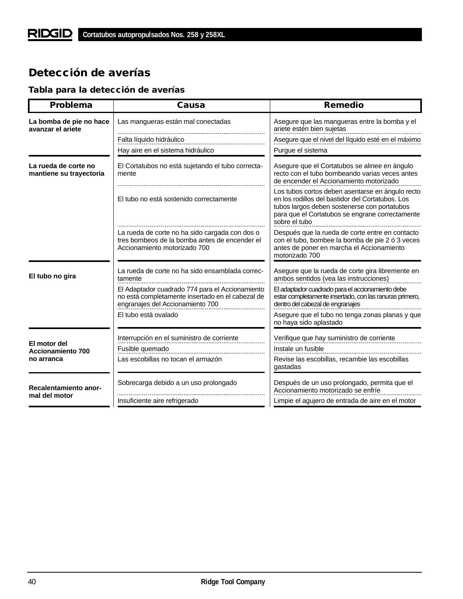# **Detección de averías**

# **Tabla para la detección de averías**

| Problema                                        | Causa                                                                                                                                   | <b>Remedio</b>                                                                                                                                                                                                           |
|-------------------------------------------------|-----------------------------------------------------------------------------------------------------------------------------------------|--------------------------------------------------------------------------------------------------------------------------------------------------------------------------------------------------------------------------|
| La bomba de pie no hace<br>avanzar el ariete    | Las mangueras están mal conectadas                                                                                                      | Asegure que las mangueras entre la bomba y el<br>ariete estén bien sujetas                                                                                                                                               |
|                                                 | Falta líquido hidráulico                                                                                                                | Asegure que el nivel del líquido esté en el máximo                                                                                                                                                                       |
|                                                 | Hay aire en el sistema hidráulico                                                                                                       | Purgue el sistema                                                                                                                                                                                                        |
| La rueda de corte no<br>mantiene su trayectoria | El Cortatubos no está sujetando el tubo correcta-<br>mente                                                                              | Asegure que el Cortatubos se alinee en ángulo<br>recto con el tubo bombeando varias veces antes<br>de encender el Accionamiento motorizado                                                                               |
|                                                 | El tubo no está sostenido correctamente                                                                                                 | Los tubos cortos deben asentarse en ángulo recto<br>en los rodillos del bastidor del Cortatubos. Los<br>tubos largos deben sostenerse con portatubos<br>para que el Cortatubos se engrane correctamente<br>sobre el tubo |
|                                                 | La rueda de corte no ha sido cargada con dos o<br>tres bombeos de la bomba antes de encender el<br>Accionamiento motorizado 700         | Después que la rueda de corte entre en contacto<br>con el tubo, bombee la bomba de pie 2 ó 3 veces<br>antes de poner en marcha el Accionamiento<br>motorizado 700                                                        |
| El tubo no gira                                 | La rueda de corte no ha sido ensamblada correc-<br>tamente                                                                              | Asegure que la rueda de corte gira libremente en<br>ambos sentidos (vea las instrucciones)                                                                                                                               |
|                                                 | El Adaptador cuadrado 774 para el Accionamiento<br>no está completamente insertado en el cabezal de<br>engranajes del Accionamiento 700 | El adaptador cuadrado para el accionamiento debe<br>estar completamente insertado, con las ranuras primero,<br>dentro del cabezal de engranajes                                                                          |
|                                                 | El tubo está ovalado                                                                                                                    | Asegure que el tubo no tenga zonas planas y que<br>no haya sido aplastado                                                                                                                                                |
|                                                 | Interrupción en el suministro de corriente                                                                                              | Verifique que hay suministro de corriente                                                                                                                                                                                |
| El motor del<br><b>Accionamiento 700</b>        | Fusible quemado                                                                                                                         | Instale un fusible                                                                                                                                                                                                       |
| no arranca                                      | Las escobillas no tocan el armazón                                                                                                      | Revise las escobillas, recambie las escobillas<br>gastadas                                                                                                                                                               |
| Recalentamiento anor-                           | Sobrecarga debido a un uso prolongado                                                                                                   | Después de un uso prolongado, permita que el<br>Accionamiento motorizado se enfríe                                                                                                                                       |
| mal del motor                                   | Insuficiente aire refrigerado                                                                                                           | Limpie el agujero de entrada de aire en el motor                                                                                                                                                                         |